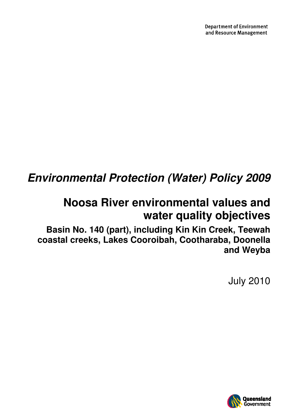# **Environmental Protection (Water) Policy 2009**

# **Noosa River environmental values and water quality objectives**

**Basin No. 140 (part), including Kin Kin Creek, Teewah coastal creeks, Lakes Cooroibah, Cootharaba, Doonella and Weyba** 

July 2010

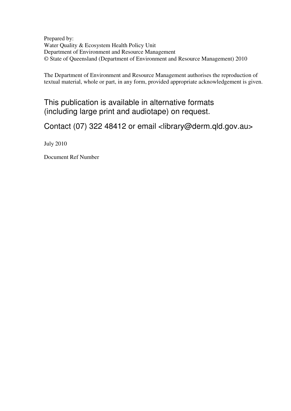Prepared by: Water Quality & Ecosystem Health Policy Unit Department of Environment and Resource Management © State of Queensland (Department of Environment and Resource Management) 2010

The Department of Environment and Resource Management authorises the reproduction of textual material, whole or part, in any form, provided appropriate acknowledgement is given.

This publication is available in alternative formats (including large print and audiotape) on request.

Contact (07) 322 48412 or email <library@derm.qld.gov.au>

July 2010

Document Ref Number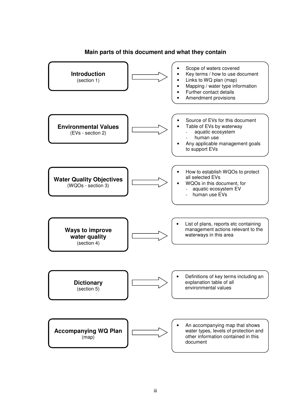

### **Main parts of this document and what they contain**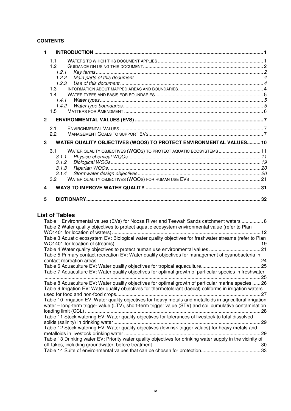### **CONTENTS**

| $\blacksquare$ |                                                                                                                    |  |
|----------------|--------------------------------------------------------------------------------------------------------------------|--|
|                | 1.1<br>12<br>1.2.1<br>1.2.2                                                                                        |  |
|                | 1.2.3<br>1.3<br>14<br>1.4.1                                                                                        |  |
|                | 1.4.2<br>1.5                                                                                                       |  |
| $\overline{2}$ |                                                                                                                    |  |
|                | 2.1<br>2.2                                                                                                         |  |
| 3              | WATER QUALITY OBJECTIVES (WQOS) TO PROTECT ENVIRONMENTAL VALUES 10                                                 |  |
|                | WATER QUALITY OBJECTIVES (WQOS) TO PROTECT AQUATIC ECOSYSTEMS 11<br>3.1<br>3.1.1<br>3.1.2<br>3.1.3<br>3.1.4<br>3.2 |  |
| 4              |                                                                                                                    |  |
| 5              |                                                                                                                    |  |

### **List of Tables**

| Table 1 Environmental values (EVs) for Noosa River and Teewah Sands catchment waters  8<br>Table 2 Water quality objectives to protect aquatic ecosystem environmental value (refer to Plan |    |
|---------------------------------------------------------------------------------------------------------------------------------------------------------------------------------------------|----|
|                                                                                                                                                                                             | 12 |
| Table 3 Aquatic ecosystem EV: Biological water quality objectives for freshwater streams (refer to Plan                                                                                     |    |
|                                                                                                                                                                                             |    |
| Table 4 Water quality objectives to protect human use environmental values 21                                                                                                               |    |
| Table 5 Primary contact recreation EV: Water quality objectives for management of cyanobacteria in                                                                                          |    |
|                                                                                                                                                                                             |    |
|                                                                                                                                                                                             |    |
| Table 7 Aquaculture EV: Water quality objectives for optimal growth of particular species in freshwater                                                                                     |    |
| Table 8 Aquaculture EV: Water quality objectives for optimal growth of particular marine species  26                                                                                        | 25 |
| Table 9 Irrigation EV: Water quality objectives for thermotolerant (faecal) coliforms in irrigation waters                                                                                  |    |
|                                                                                                                                                                                             | 27 |
| Table 10 Irrigation EV: Water quality objectives for heavy metals and metalloids in agricultural irrigation                                                                                 |    |
| water – long-term trigger value (LTV), short-term trigger value (STV) and soil cumulative contamination                                                                                     |    |
|                                                                                                                                                                                             |    |
| Table 11 Stock watering EV: Water quality objectives for tolerances of livestock to total dissolved                                                                                         |    |
|                                                                                                                                                                                             | 29 |
| Table 12 Stock watering EV: Water quality objectives (low risk trigger values) for heavy metals and                                                                                         |    |
|                                                                                                                                                                                             | 29 |
| Table 13 Drinking water EV: Priority water quality objectives for drinking water supply in the vicinity of                                                                                  |    |
|                                                                                                                                                                                             |    |
|                                                                                                                                                                                             |    |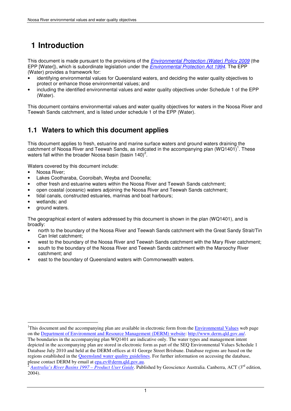## **1 Introduction**

This document is made pursuant to the provisions of the **Environmental Protection (Water) Policy 2009** (the EPP [Water]), which is subordinate legislation under the *Environmental Protection Act 1994*. The EPP (Water) provides a framework for:

- identifying environmental values for Queensland waters, and deciding the water quality objectives to protect or enhance those environmental values; and
- including the identified environmental values and water quality objectives under Schedule 1 of the EPP (Water).

This document contains environmental values and water quality objectives for waters in the Noosa River and Teewah Sands catchment, and is listed under schedule 1 of the EPP (Water).

## **1.1 Waters to which this document applies**

This document applies to fresh, estuarine and marine surface waters and ground waters draining the catchment of Noosa River and Teewah Sands, as indicated in the accompanying plan  $(WQ1401)^1$ . These waters fall within the broader Noosa basin (basin 140)<sup>2</sup>.

Waters covered by this document include:

- Noosa River;
- Lakes Cootharaba, Cooroibah, Weyba and Doonella;
- other fresh and estuarine waters within the Noosa River and Teewah Sands catchment;
- open coastal (oceanic) waters adjoining the Noosa River and Teewah Sands catchment;
- tidal canals, constructed estuaries, marinas and boat harbours;
- wetlands; and

 $\overline{a}$ 

ground waters.

The geographical extent of waters addressed by this document is shown in the plan (WQ1401), and is broadly:

- north to the boundary of the Noosa River and Teewah Sands catchment with the Great Sandy Strait/Tin Can Inlet catchment;
- west to the boundary of the Noosa River and Teewah Sands catchment with the Mary River catchment;
- south to the boundary of the Noosa River and Teewah Sands catchment with the Maroochy River catchment; and
- east to the boundary of Queensland waters with Commonwealth waters.

<sup>&</sup>lt;sup>1</sup>This document and the accompanying plan are available in electronic form from the **Environmental Values** web page on the Department of Environment and Resource Management (DERM) website: http://www.derm.qld.gov.au/. The boundaries in the accompanying plan WQ1401 are indicative only. The water types and management intent depicted in the accompanying plan are stored in electronic form as part of the SEQ Environmental Values Schedule 1 Database July 2010 and held at the DERM offices at 41 George Street Brisbane. Database regions are based on the regions established in the Queensland water quality guidelines. For further information on accessing the database, please contact DERM by email at epa.ev@derm.qld.gov.au.

<sup>2</sup> *Australia's River Basins 1997 – Product User Guide*. Published by Geoscience Australia. Canberra, ACT (3rd edition, 2004).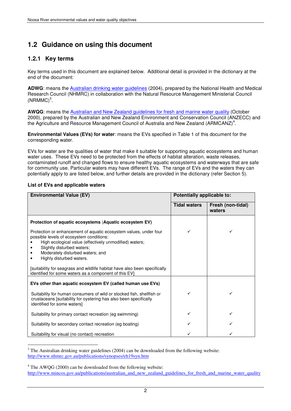## **1.2 Guidance on using this document**

### **1.2.1 Key terms**

Key terms used in this document are explained below. Additional detail is provided in the dictionary at the end of the document:

**ADWG**: means the Australian drinking water guidelines (2004), prepared by the National Health and Medical Research Council (NHMRC) in collaboration with the Natural Resource Management Ministerial Council  $(NRMMC)^3$ .

**AWQG**: means the Australian and New Zealand guidelines for fresh and marine water quality (October 2000), prepared by the Australian and New Zealand Environment and Conservation Council (ANZECC) and the Agriculture and Resource Management Council of Australia and New Zealand (ARMCANZ)<sup>4</sup>.

**Environmental Values (EVs) for water**: means the EVs specified in Table 1 of this document for the corresponding water.

EVs for water are the qualities of water that make it suitable for supporting aquatic ecosystems and human water uses. These EVs need to be protected from the effects of habitat alteration, waste releases, contaminated runoff and changed flows to ensure healthy aquatic ecosystems and waterways that are safe for community use. Particular waters may have different EVs. The range of EVs and the waters they can potentially apply to are listed below, and further details are provided in the dictionary (refer Section 5).

### **List of EVs and applicable waters**

| <b>Environmental Value (EV)</b>                                                                                                                                                                                                                                                                                                                     | Potentially applicable to: |                             |  |  |  |
|-----------------------------------------------------------------------------------------------------------------------------------------------------------------------------------------------------------------------------------------------------------------------------------------------------------------------------------------------------|----------------------------|-----------------------------|--|--|--|
|                                                                                                                                                                                                                                                                                                                                                     | <b>Tidal waters</b>        | Fresh (non-tidal)<br>waters |  |  |  |
| Protection of aquatic ecosystems (Aquatic ecosystem EV)                                                                                                                                                                                                                                                                                             |                            |                             |  |  |  |
| Protection or enhancement of aquatic ecosystem values, under four<br>possible levels of ecosystem conditions:<br>High ecological value (effectively unmodified) waters;<br>Slightly disturbed waters;<br>Moderately disturbed waters; and<br>Highly disturbed waters.<br>[suitability for seagrass and wildlife habitat have also been specifically |                            |                             |  |  |  |
| identified for some waters as a component of this EV]                                                                                                                                                                                                                                                                                               |                            |                             |  |  |  |
| EVs other than aquatic ecosystem EV (called human use EVs)<br>Suitability for human consumers of wild or stocked fish, shellfish or<br>crustaceans [suitability for oystering has also been specifically<br>identified for some waters]                                                                                                             |                            |                             |  |  |  |
| Suitability for primary contact recreation (eg swimming)                                                                                                                                                                                                                                                                                            | ✓                          |                             |  |  |  |
| Suitability for secondary contact recreation (eg boating)                                                                                                                                                                                                                                                                                           |                            |                             |  |  |  |
| Suitability for visual (no contact) recreation                                                                                                                                                                                                                                                                                                      |                            |                             |  |  |  |

 $\overline{a}$  $3$  The Australian drinking water guidelines (2004) can be downloaded from the following website: http://www.nhmrc.gov.au/publications/synopses/eh19syn.htm

 $4$  The AWQG (2000) can be downloaded from the following website: http://www.mincos.gov.au/publications/australian\_and\_new\_zealand\_guidelines\_for\_fresh\_and\_marine\_water\_quality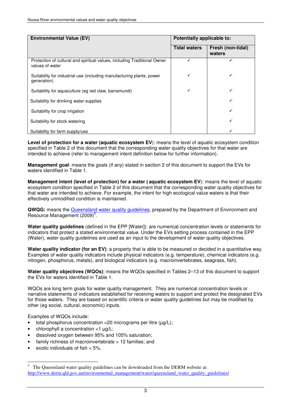| <b>Environmental Value (EV)</b>                                                             | Potentially applicable to: |                             |  |  |  |  |
|---------------------------------------------------------------------------------------------|----------------------------|-----------------------------|--|--|--|--|
|                                                                                             | <b>Tidal waters</b>        | Fresh (non-tidal)<br>waters |  |  |  |  |
| Protection of cultural and spiritual values, including Traditional Owner<br>values of water |                            |                             |  |  |  |  |
| Suitability for industrial use (including manufacturing plants, power<br>generation)        | ✓                          | ✓                           |  |  |  |  |
| Suitability for aquaculture (eg red claw, barramundi)                                       | ✓                          | ✓                           |  |  |  |  |
| Suitability for drinking water supplies                                                     |                            | ✓                           |  |  |  |  |
| Suitability for crop irrigation                                                             |                            | ✓                           |  |  |  |  |
| Suitability for stock watering                                                              |                            | ✓                           |  |  |  |  |
| Suitability for farm supply/use                                                             |                            |                             |  |  |  |  |

**Level of protection for a water (aquatic ecosystem EV**): means the level of aquatic ecosystem condition specified in Table 2 of this document that the corresponding water quality objectives for that water are intended to achieve (refer to management intent definition below for further information).

**Management goal**: means the goals (if any) stated in section 2 of this document to support the EVs for waters identified in Table 1.

**Management intent (level of protection) for a water ( aquatic ecosystem EV**): means the level of aquatic ecosystem condition specified in Table 2 of this document that the corresponding water quality objectives for that water are intended to achieve. For example, the intent for high ecological value waters is that their effectively unmodified condition is maintained.

QWQG: means the **Queensland water quality guidelines**, prepared by the Department of Environment and Resource Management (2009)<sup>5</sup>.

**Water quality guidelines** (defined in the EPP [Water]): are numerical concentration levels or statements for indicators that protect a stated environmental value. Under the EVs setting process contained in the EPP (Water), water quality guidelines are used as an input to the development of water quality objectives.

**Water quality indicator (for an EV)**: a property that is able to be measured or decided in a quantitative way. Examples of water quality indicators include physical indicators (e.g. temperature), chemical indicators (e.g. nitrogen, phosphorus, metals), and biological indicators (e.g. macroinvertebrates, seagrass, fish).

**Water quality objectives (WQOs)**: means the WQOs specified in Tables 2–13 of this document to support the EVs for waters identified in Table 1.

WQOs are long term goals for water quality management. They are numerical concentration levels or narrative statements of indicators established for receiving waters to support and protect the designated EVs for those waters. They are based on scientific criteria or water quality guidelines but may be modified by other (eg social, cultural, economic) inputs.

Examples of WQOs include:

- total phosphorus concentration <20 micrograms per litre  $(\mu g/L)$ ;
- chlorophyll a concentration <1 µg/L;
- dissolved oxygen between 95% and 105% saturation;
- family richness of macroinvertebrate > 12 families; and
- exotic individuals of fish  $< 5\%$ .

 $\overline{a}$ 5 The Queensland water quality guidelines can be downloaded from the DERM website at: http://www.derm.qld.gov.au/environmental\_management/water/queensland\_water\_quality\_guidelines/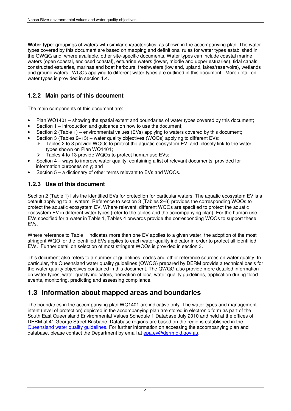**Water type**: groupings of waters with similar characteristics, as shown in the accompanying plan. The water types covered by this document are based on mapping and definitional rules for water types established in the QWQG and, where available, other site-specific documents. Water types can include coastal marine waters (open coastal, enclosed coastal), estuarine waters (lower, middle and upper estuaries), tidal canals, constructed estuaries, marinas and boat harbours, freshwaters (lowland, upland, lakes/reservoirs), wetlands and ground waters. WQOs applying to different water types are outlined in this document. More detail on water types is provided in section 1.4.

### **1.2.2 Main parts of this document**

The main components of this document are:

- Plan WQ1401 showing the spatial extent and boundaries of water types covered by this document;
- Section 1 introduction and guidance on how to use the document;
- Section 2 (Table 1) environmental values (EVs) applying to waters covered by this document;
- Section 3 (Tables 2–13) water quality objectives (WQOs) applying to different EVs:
	- $\triangleright$  Tables 2 to 3 provide WQOs to protect the aquatic ecosystem EV, and closely link to the water types shown on Plan WQ1401;
		- $\blacktriangleright$ Tables 4 to 13 provide WQOs to protect human use EVs;
- Section 4 ways to improve water quality: containing a list of relevant documents, provided for information purposes only; and
- Section  $5 a$  dictionary of other terms relevant to EVs and WQOs.

## **1.2.3 Use of this document**

Section 2 (Table 1) lists the identified EVs for protection for particular waters. The aquatic ecosystem EV is a default applying to all waters. Reference to section 3 (Tables 2–3) provides the corresponding WQOs to protect the aquatic ecosystem EV. Where relevant, different WQOs are specified to protect the aquatic ecosystem EV in different water types (refer to the tables and the accompanying plan). For the human use EVs specified for a water in Table 1, Tables 4 onwards provide the corresponding WQOs to support these EVs.

Where reference to Table 1 indicates more than one EV applies to a given water, the adoption of the most stringent WQO for the identified EVs applies to each water quality indicator in order to protect all identified EVs. Further detail on selection of most stringent WQOs is provided in section 3.

This document also refers to a number of guidelines, codes and other reference sources on water quality. In particular, the Queensland water quality guidelines (QWQG) prepared by DERM provide a technical basis for the water quality objectives contained in this document. The QWQG also provide more detailed information on water types, water quality indicators, derivation of local water quality guidelines, application during flood events, monitoring, predicting and assessing compliance.

## **1.3 Information about mapped areas and boundaries**

The boundaries in the accompanying plan WQ1401 are indicative only. The water types and management intent (level of protection) depicted in the accompanying plan are stored in electronic form as part of the South East Queensland Environmental Values Schedule 1 Database July 2010 and held at the offices of DERM at 41 George Street Brisbane. Database regions are based on the regions established in the Queensland water quality guidelines. For further information on accessing the accompanying plan and database, please contact the Department by email at epa.ev@derm.qld.gov.au.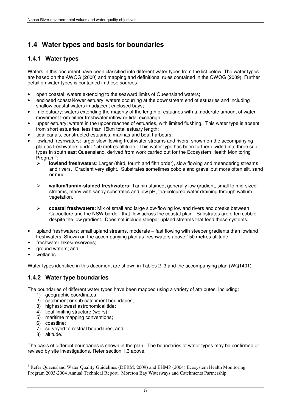## **1.4 Water types and basis for boundaries**

### **1.4.1 Water types**

Waters in this document have been classified into different water types from the list below. The water types are based on the AWQG (2000) and mapping and definitional rules contained in the QWQG (2009). Further detail on water types is contained in these sources.

- open coastal: waters extending to the seaward limits of Queensland waters;
- enclosed coastal/lower estuary: waters occurring at the downstream end of estuaries and including shallow coastal waters in adjacent enclosed bays;
- mid estuary: waters extending the majority of the length of estuaries with a moderate amount of water movement from either freshwater inflow or tidal exchange;
- upper estuary: waters in the upper reaches of estuaries, with limited flushing. This water type is absent from short estuaries, less than 15km total estuary length;
- tidal canals, constructed estuaries, marinas and boat harbours;
- lowland freshwaters: larger slow flowing freshwater streams and rivers, shown on the accompanying plan as freshwaters under 150 metres altitude. This water type has been further divided into three sub types in south east Queensland, derived from work carried out for the Ecosystem Health Monitoring  $\overline{\mathsf{Program}}^6$ :
	- $\triangleright$  **lowland freshwaters**: Larger (third, fourth and fifth order), slow flowing and meandering streams and rivers. Gradient very slight. Substrates sometimes cobble and gravel but more often silt, sand or mud.
	- $\blacktriangleright$  **wallum/tannin-stained freshwaters:** Tannin-stained**,** generally low gradient, small to mid-sized streams, many with sandy substrates and low pH, tea-coloured water draining through wallum vegetation.
	- $\triangleright$  **coastal freshwaters**: Mix of small and large slow-flowing lowland rivers and creeks between Caboolture and the NSW border, that flow across the coastal plain. Substrates are often cobble despite the low gradient. Does not include steeper upland streams that feed these systems.
- upland freshwaters: small upland streams, moderate fast flowing with steeper gradients than lowland freshwaters. Shown on the accompanying plan as freshwaters above 150 metres altitude;
- freshwater lakes/reservoirs;
- ground waters; and
- wetlands.

Water types identified in this document are shown in Tables 2–3 and the accompanying plan (WQ1401).

### **1.4.2 Water type boundaries**

The boundaries of different water types have been mapped using a variety of attributes, including:

- 1) geographic coordinates:
- 2) catchment or sub-catchment boundaries;
- 3) highest/lowest astronomical tide;
- 4) tidal limiting structure (weirs);
- 5) maritime mapping conventions;
- 6) coastline;
- 7) surveyed terrestrial boundaries; and
- 8) altitude.

The basis of different boundaries is shown in the plan. The boundaries of water types may be confirmed or revised by site investigations. Refer section 1.3 above.

 $\overline{a}$ <sup>6</sup> Refer Queensland Water Quality Guidelines (DERM, 2009) and EHMP (2004) Ecosystem Health Monitoring Program 2003-2004 Annual Technical Report. Moreton Bay Waterways and Catchments Partnership.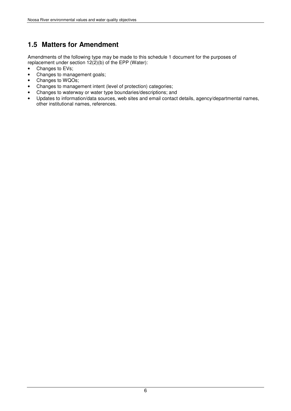## **1.5 Matters for Amendment**

Amendments of the following type may be made to this schedule 1 document for the purposes of replacement under section  $12(2)(b)$  of the EPP (Water):

- Changes to EVs;<br>• Changes to mana
- Changes to management goals;
- Changes to WQOs;
- Changes to management intent (level of protection) categories;
- Changes to waterway or water type boundaries/descriptions; and
- Updates to information/data sources, web sites and email contact details, agency/departmental names, other institutional names, references.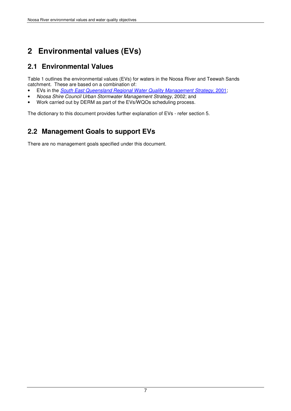## **2 Environmental values (EVs)**

## **2.1 Environmental Values**

Table 1 outlines the environmental values (EVs) for waters in the Noosa River and Teewah Sands catchment. These are based on a combination of:

- EVs in the South East Queensland Regional Water Quality Management Strategy, 2001;
- Noosa Shire Council Urban Stormwater Management Strategy, 2002; and
- Work carried out by DERM as part of the EVs/WQOs scheduling process.

The dictionary to this document provides further explanation of EVs - refer section 5.

## **2.2 Management Goals to support EVs**

There are no management goals specified under this document.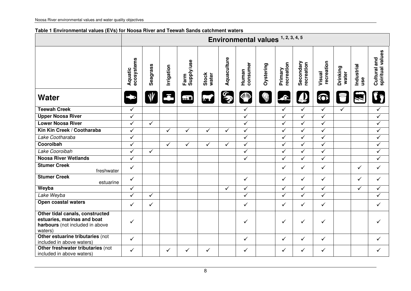### **Table 1 Environmental values (EVs) for Noosa River and Teewah Sands catchment waters**

|                                                                                                              | Environmental values 1, 2, 3, 4, 5 |              |              |                    |                |              |                         |           |                         |                         |                         |                   |                   |                                  |
|--------------------------------------------------------------------------------------------------------------|------------------------------------|--------------|--------------|--------------------|----------------|--------------|-------------------------|-----------|-------------------------|-------------------------|-------------------------|-------------------|-------------------|----------------------------------|
|                                                                                                              | ecosystems<br>Aquatic              | Seagrass     | Irrigation   | Farm<br>Supply/use | Stock<br>water | Aquaculture  | consumer<br>Human       | Oystering | recreation<br>Primary   | Secondary<br>recreation | recreation<br>Visual    | Drinking<br>water | Industrial<br>use | spiritual values<br>Cultural and |
| <b>Water</b>                                                                                                 |                                    |              |              | $\prod$            | <b>Report</b>  | S            | <b>SIMP</b>             |           | $\bullet$               |                         | <b>O</b>                |                   |                   |                                  |
| <b>Teewah Creek</b>                                                                                          | $\checkmark$                       |              |              |                    |                |              | $\checkmark$            |           | $\checkmark$            | $\checkmark$            | $\checkmark$            | $\checkmark$      |                   | $\checkmark$                     |
| <b>Upper Noosa River</b>                                                                                     | $\overline{\checkmark}$            |              |              |                    |                |              | $\checkmark$            |           | $\overline{\checkmark}$ | $\overline{\checkmark}$ | $\checkmark$            |                   |                   | $\overline{\checkmark}$          |
| <b>Lower Noosa River</b>                                                                                     | $\checkmark$                       | $\checkmark$ |              |                    |                |              | $\checkmark$            |           | $\checkmark$            | $\checkmark$            | ✓                       |                   |                   | $\checkmark$                     |
| Kin Kin Creek / Cootharaba                                                                                   | $\checkmark$                       |              | $\checkmark$ | $\checkmark$       | $\checkmark$   | $\checkmark$ | $\checkmark$            |           | $\checkmark$            | $\checkmark$            | ✓                       |                   |                   | $\checkmark$                     |
| Lake Cootharaba                                                                                              | $\overline{\checkmark}$            |              |              |                    |                |              | $\checkmark$            |           | $\overline{\checkmark}$ | $\overline{\checkmark}$ | $\overline{\checkmark}$ |                   |                   | $\overline{\checkmark}$          |
| Cooroibah                                                                                                    | $\checkmark$                       |              | $\checkmark$ | $\checkmark$       | $\checkmark$   | $\checkmark$ | $\checkmark$            |           | $\checkmark$            | $\checkmark$            | $\checkmark$            |                   |                   | $\checkmark$                     |
| Lake Cooroibah                                                                                               | $\checkmark$                       | $\checkmark$ |              |                    |                |              | $\checkmark$            |           | $\checkmark$            | $\checkmark$            | $\checkmark$            |                   |                   | $\checkmark$                     |
| <b>Noosa River Wetlands</b>                                                                                  | $\overline{\checkmark}$            |              |              |                    |                |              | $\overline{\checkmark}$ |           | $\overline{\checkmark}$ | $\overline{\checkmark}$ | $\overline{\checkmark}$ |                   |                   | $\sqrt{}$                        |
| <b>Stumer Creek</b><br>freshwater                                                                            | $\checkmark$                       |              |              |                    |                |              |                         |           | $\checkmark$            | $\checkmark$            | $\checkmark$            |                   | ✓                 | $\checkmark$                     |
| <b>Stumer Creek</b><br>estuarine                                                                             | $\checkmark$                       |              |              |                    |                |              | $\checkmark$            |           | $\checkmark$            | $\checkmark$            | $\checkmark$            |                   | ✓                 | $\checkmark$                     |
| Weyba                                                                                                        | $\overline{\checkmark}$            |              |              |                    |                | $\checkmark$ | $\checkmark$            |           | $\overline{\checkmark}$ | $\checkmark$            | $\checkmark$            |                   | $\checkmark$      | $\checkmark$                     |
| Lake Weyba                                                                                                   | $\checkmark$                       | $\checkmark$ |              |                    |                |              | ✓                       |           | $\checkmark$            | $\checkmark$            | ✓                       |                   |                   | $\checkmark$                     |
| Open coastal waters                                                                                          | $\checkmark$                       | $\checkmark$ |              |                    |                |              | $\checkmark$            |           | $\checkmark$            | $\checkmark$            | $\checkmark$            |                   |                   | $\checkmark$                     |
| Other tidal canals, constructed<br>estuaries, marinas and boat<br>harbours (not included in above<br>waters) | $\checkmark$                       |              |              |                    |                |              | ✓                       |           | $\checkmark$            | $\checkmark$            | $\checkmark$            |                   |                   | ✓                                |
| Other estuarine tributaries (not<br>included in above waters)                                                | $\checkmark$                       |              |              |                    |                |              | $\checkmark$            |           | $\checkmark$            | $\checkmark$            | $\checkmark$            |                   |                   | $\checkmark$                     |
| Other freshwater tributaries (not<br>included in above waters)                                               | ✓                                  |              | $\checkmark$ | $\checkmark$       | $\checkmark$   |              | ✓                       |           | $\checkmark$            | $\checkmark$            | ✓                       |                   |                   | ✓                                |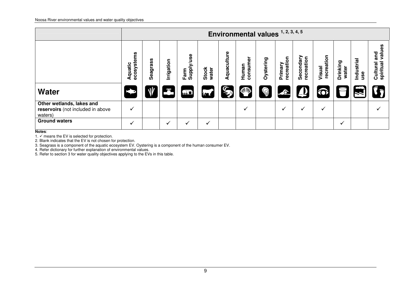|                                                                           |                       |          |              |                                           |                |             | Environmental values 1, 2, 3, 4, 5 |           |                       |                         |                      |                   |                   |                                        |
|---------------------------------------------------------------------------|-----------------------|----------|--------------|-------------------------------------------|----------------|-------------|------------------------------------|-----------|-----------------------|-------------------------|----------------------|-------------------|-------------------|----------------------------------------|
|                                                                           | ecosystems<br>Aquatic | Seagrass | Irrigation   | Supply/use<br>Farm                        | Stock<br>water | Aquaculture | consumer<br>Human                  | Oystering | recreation<br>Primary | Secondary<br>recreation | recreation<br>Visual | Drinking<br>water | Industrial<br>use | values<br>and<br>spiritual<br>Cultural |
| <b>Water</b>                                                              |                       |          | Ξ            | $\begin{matrix} 1 \\ 1 \\ 2 \end{matrix}$ | <b>Report</b>  | S           | <b>SILIDA</b>                      | Ó         | $\blacktriangle$      | $\boldsymbol{\mu}$      | $\bigodot$           | 目                 |                   | j,                                     |
| Other wetlands, lakes and<br>reservoirs (not included in above<br>waters) | $\checkmark$          |          |              |                                           |                |             | $\checkmark$                       |           | ✓                     | ✓                       | ✓                    |                   |                   | ✓                                      |
| <b>Ground waters</b>                                                      | $\checkmark$          |          | $\checkmark$ | $\checkmark$                              | $\checkmark$   |             |                                    |           |                       |                         |                      | ✓                 |                   |                                        |

**Notes**:

1. √ means the EV is selected for protection.<br>2. Blank indicates that the EV is not chosen for protection.<br>3. Seagrass is a component of the aquatic ecosystem EV. Oystering is a component of the human consumer EV.<br>4. Refe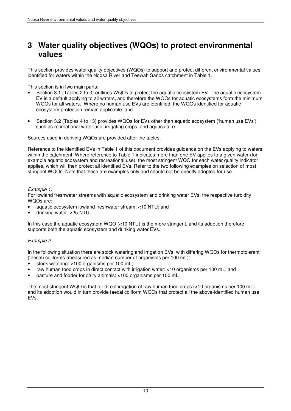## **3 Water quality objectives (WQOs) to protect environmental values**

This section provides water quality objectives (WQOs) to support and protect different environmental values identified for waters within the Noosa River and Teewah Sands catchment in Table 1.

This section is in two main parts:

- Section 3.1 (Tables 2 to 3) outlines WQOs to protect the aquatic ecosystem EV. The aquatic ecosystem EV is a default applying to all waters, and therefore the WQOs for aquatic ecosystems form the minimum WQOs for all waters. Where no human use EVs are identified, the WQOs identified for aquatic ecosystem protection remain applicable; and
- Section 3.2 (Tables 4 to 13) provides WQOs for EVs other than aquatic ecosystem ('human use EVs') such as recreational water use, irrigating crops, and aquaculture.

Sources used in deriving WQOs are provided after the tables.

Reference to the identified EVs in Table 1 of this document provides guidance on the EVs applying to waters within the catchment. Where reference to Table 1 indicates more than one EV applies to a given water (for example aquatic ecosystem and recreational use), the most stringent WQO for each water quality indicator applies, which will then protect all identified EVs. Refer to the two following examples on selection of most stringent WQOs. Note that these are examples only and should not be directly adopted for use.

Example 1:

For lowland freshwater streams with aquatic ecosystem and drinking water EVs, the respective turbidity WQOs are:

- aquatic ecosystem lowland freshwater stream: <10 NTU; and
- drinking water: <25 NTU.

In this case the aquatic ecosystem WQO (<10 NTU) is the more stringent, and its adoption therefore supports both the aquatic ecosystem and drinking water EVs.

#### Example 2:

In the following situation there are stock watering and irrigation EVs, with differing WQOs for thermotolerant (faecal) coliforms (measured as median number of organisms per 100 mL):

- stock watering: <100 organisms per 100 mL;
- raw human food crops in direct contact with irrigation water: <10 organisms per 100 mL; and
- pasture and fodder for dairy animals: <100 organisms per 100 mL

The most stringent WQO is that for direct irrigation of raw human food crops (<10 organisms per 100 mL) and its adoption would in turn provide faecal coliform WQOs that protect all the above-identified human use EVs.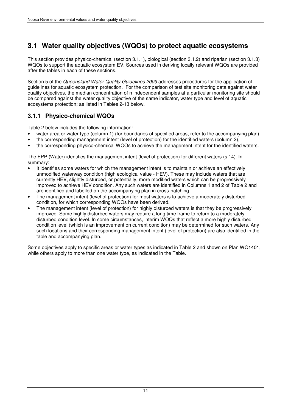## **3.1 Water quality objectives (WQOs) to protect aquatic ecosystems**

This section provides physico-chemical (section 3.1.1), biological (section 3.1.2) and riparian (section 3.1.3) WQOs to support the aquatic ecosystem EV. Sources used in deriving locally relevant WQOs are provided after the tables in each of these sections.

Section 5 of the Queensland Water Quality Guidelines 2009 addresses procedures for the application of guidelines for aquatic ecosystem protection. For the comparison of test site monitoring data against water quality objectives, the median concentration of n independent samples at a particular monitoring site should be compared against the water quality objective of the same indicator, water type and level of aquatic ecosystems protection; as listed in Tables 2-13 below.

### **3.1.1 Physico-chemical WQOs**

Table 2 below includes the following information:

- water area or water type (column 1) (for boundaries of specified areas, refer to the accompanying plan),
- the corresponding management intent (level of protection) for the identified waters (column 2),
- the corresponding physico-chemical WQOs to achieve the management intent for the identified waters.

The EPP (Water) identifies the management intent (level of protection) for different waters (s 14). In summary:

- It identifies some waters for which the management intent is to maintain or achieve an effectively unmodified waterway condition (high ecological value - HEV). These may include waters that are currently HEV, slightly disturbed, or potentially, more modified waters which can be progressively improved to achieve HEV condition. Any such waters are identified in Columns 1 and 2 of Table 2 and are identified and labelled on the accompanying plan in cross-hatching.
- The management intent (level of protection) for most waters is to achieve a moderately disturbed condition, for which corresponding WQOs have been derived.
- The management intent (level of protection) for highly disturbed waters is that they be progressively improved. Some highly disturbed waters may require a long time frame to return to a moderately disturbed condition level. In some circumstances, interim WOQs that reflect a more highly disturbed condition level (which is an improvement on current condition) may be determined for such waters. Any such locations and their corresponding management intent (level of protection) are also identified in the table and accompanying plan.

Some objectives apply to specific areas or water types as indicated in Table 2 and shown on Plan WQ1401, while others apply to more than one water type, as indicated in the Table.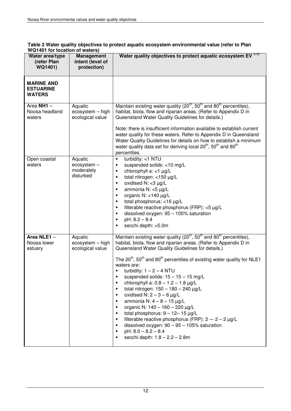| וטו ושוטשטו וטו ווער וואז זא<br>Water area/type<br>(refer Plan | <b>Management</b><br>intent (level of             | Water quality objectives to protect aquatic ecosystem EV <sup>1-11</sup>                                                                                                                                                                                                                                                                                                                                                                                                                                                                                                                                                                                                                                                                                                                                                                                                                        |
|----------------------------------------------------------------|---------------------------------------------------|-------------------------------------------------------------------------------------------------------------------------------------------------------------------------------------------------------------------------------------------------------------------------------------------------------------------------------------------------------------------------------------------------------------------------------------------------------------------------------------------------------------------------------------------------------------------------------------------------------------------------------------------------------------------------------------------------------------------------------------------------------------------------------------------------------------------------------------------------------------------------------------------------|
| WQ1401)                                                        | protection)                                       |                                                                                                                                                                                                                                                                                                                                                                                                                                                                                                                                                                                                                                                                                                                                                                                                                                                                                                 |
| <b>MARINE AND</b><br><b>ESTUARINE</b><br><b>WATERS</b>         |                                                   |                                                                                                                                                                                                                                                                                                                                                                                                                                                                                                                                                                                                                                                                                                                                                                                                                                                                                                 |
| Area NH1 -<br>Noosa headland<br>waters                         | Aquatic<br>ecosystem - high<br>ecological value   | Maintain existing water quality (20 <sup>th</sup> , 50 <sup>th</sup> and 80 <sup>th</sup> percentiles),<br>habitat, biota, flow and riparian areas. (Refer to Appendix D in<br>Queensland Water Quality Guidelines for details.)<br>Note: there is insufficient information available to establish current<br>water quality for these waters. Refer to Appendix D in Queensland<br>Water Quality Guidelines for details on how to establish a minimum<br>water quality data set for deriving local 20 <sup>th</sup> , 50 <sup>th</sup> and 80 <sup>th</sup><br>percentiles.                                                                                                                                                                                                                                                                                                                     |
| Open coastal<br>waters                                         | Aquatic<br>ecosystem -<br>moderately<br>disturbed | turbidity: <1 NTU<br>٠<br>suspended solids: <10 mg/L<br>٠<br>chlorophyll a: <1 µg/L<br>٠<br>total nitrogen: <150 µg/L<br>٠<br>oxidised $N: <3 \mu g/L$<br>٠<br>ammonia N: <5 µg/L<br>٠<br>organic N: $<$ 140 µg/L<br>$\blacksquare$<br>total phosphorus: <16 µg/L<br>$\blacksquare$<br>filterable reactive phosphorus (FRP): <5 µg/L<br>٠<br>dissolved oxygen: 95 - 105% saturation<br>٠<br>$pH: 8.2 - 8.4$<br>٠<br>secchi depth: >5.0m<br>٠                                                                                                                                                                                                                                                                                                                                                                                                                                                    |
| Area NLE1-<br>Noosa lower<br>estuary                           | Aquatic<br>ecosystem - high<br>ecological value   | Maintain existing water quality (20 <sup>th</sup> , 50 <sup>th</sup> and 80 <sup>th</sup> percentiles),<br>habitat, biota, flow and riparian areas. (Refer to Appendix D in<br>Queensland Water Quality Guidelines for details.)<br>The $20^{th}$ , $50^{th}$ and $80^{th}$ percentiles of existing water quality for NLE1<br>waters are:<br>turbidity: $1 - 2 - 4$ NTU<br>suspended solids: $15 - 15 - 15$ mg/L<br>chlorophyll a: $0.8 - 1.2 - 1.8$ µg/L<br>٠<br>total nitrogen: $150 - 180 - 240$ µg/L<br>٠<br>oxidised N: $2 - 3 - 6$ µg/L<br>٠<br>ammonia N: $4 - 8 - 15 \mu g/L$<br>٠<br>organic N: $140 - 160 - 220$ µg/L<br>$\blacksquare$<br>total phosphorus: $9 - 12 - 15 \mu g/L$<br>٠<br>filterable reactive phosphorus (FRP): $2 - 2 - 2$ µg/L<br>٠<br>dissolved oxygen: $90 - 95 - 105\%$ saturation<br>٠<br>$pH: 8.0 - 8.2 - 8.4$<br>٠<br>secchi depth: $1.8 - 2.2 - 2.8$ m<br>٠ |

#### **Table 2 Water quality objectives to protect aquatic ecosystem environmental value (refer to Plan WQ1401 for location of waters)**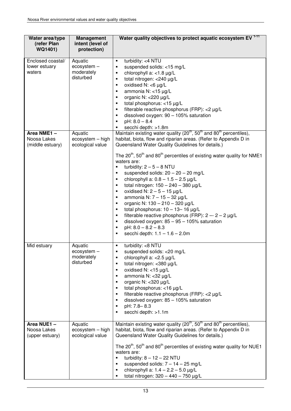| Water area/type<br>(refer Plan<br>WQ1401)     | <b>Management</b><br>intent (level of<br>protection) | Water quality objectives to protect aquatic ecosystem EV <sup>1-11</sup>                                                                                                                                                                                                                                                                                                                                                                                                                                                                                                                                                                                                                                                                                                                                                                                                                                                                                                          |
|-----------------------------------------------|------------------------------------------------------|-----------------------------------------------------------------------------------------------------------------------------------------------------------------------------------------------------------------------------------------------------------------------------------------------------------------------------------------------------------------------------------------------------------------------------------------------------------------------------------------------------------------------------------------------------------------------------------------------------------------------------------------------------------------------------------------------------------------------------------------------------------------------------------------------------------------------------------------------------------------------------------------------------------------------------------------------------------------------------------|
| Enclosed coastal/<br>lower estuary<br>waters  | Aquatic<br>ecosystem -<br>moderately<br>disturbed    | turbidity: <4 NTU<br>٠<br>suspended solids: <15 mg/L<br>$\blacksquare$<br>chlorophyll a: <1.8 µg/L<br>٠<br>total nitrogen: < 240 µg/L<br>$\blacksquare$<br>oxidised $N: <6 \mu g/L$<br>٠<br>ammonia N: <15 µg/L<br>٠<br>organic N: <220 µg/L<br>٠<br>total phosphorus: <15 µg/L<br>٠<br>filterable reactive phosphorus (FRP): <2 µg/L<br>٠<br>dissolved oxygen: $90 - 105\%$ saturation<br>٠<br>$pH: 8.0 - 8.4$<br>$\blacksquare$<br>secchi depth: >1.8m<br>П                                                                                                                                                                                                                                                                                                                                                                                                                                                                                                                     |
| Area NME1-<br>Noosa Lakes<br>(middle estuary) | Aquatic<br>ecosystem - high<br>ecological value      | Maintain existing water quality (20 <sup>th</sup> , 50 <sup>th</sup> and 80 <sup>th</sup> percentiles),<br>habitat, biota, flow and riparian areas. (Refer to Appendix D in<br>Queensland Water Quality Guidelines for details.)<br>The $20^{th}$ , 50 <sup>th</sup> and 80 <sup>th</sup> percentiles of existing water quality for NME1<br>waters are:<br>turbidity: $2-5-8$ NTU<br>П<br>suspended solids: $20 - 20 - 20$ mg/L<br>٠<br>chlorophyll a: $0.8 - 1.5 - 2.5 \mu g/L$<br>$\blacksquare$<br>total nitrogen: $150 - 240 - 380$ µg/L<br>$\blacksquare$<br>oxidised N: $2-5-15 \mu g/L$<br>٠<br>ammonia N: $7 - 15 - 32$ µg/L<br>$\blacksquare$<br>organic N: 130 - 210 - 320 µg/L<br>$\blacksquare$<br>total phosphorus: $10 - 13 - 16$ µg/L<br>$\blacksquare$<br>filterable reactive phosphorus (FRP): $2 - 2 - 2$ µg/L<br>٠<br>dissolved oxygen: $85 - 95 - 105\%$ saturation<br>٠<br>$pH: 8.0 - 8.2 - 8.3$<br>$\blacksquare$<br>secchi depth: $1.1 - 1.6 - 2.0$ m<br>٠ |
| Mid estuary                                   | Aquatic<br>ecosystem<br>moderately<br>disturbed      | turbidity: <8 NTU<br>$\blacksquare$<br>suspended solids: < 20 mg/L<br>chlorophyll a: $<$ 2.5 $\mu$ g/L<br>٠<br>total nitrogen: < 380 µg/L<br>٠<br>oxidised $N: < 15 \mu g/L$<br>٠<br>ammonia N: <32 µg/L<br>٠<br>organic N: < 320 µg/L<br>٠<br>total phosphorus: <16 µg/L<br>$\blacksquare$<br>filterable reactive phosphorus (FRP): < 2 µg/L<br>٠<br>dissolved oxygen: $85 - 105\%$ saturation<br>٠<br>pH: 7.8-8.3<br>٠<br>secchi depth: >1.1m<br>$\blacksquare$                                                                                                                                                                                                                                                                                                                                                                                                                                                                                                                 |
| Area NUE1-<br>Noosa Lakes<br>(upper estuary)  | Aquatic<br>ecosystem - high<br>ecological value      | Maintain existing water quality (20 <sup>th</sup> , 50 <sup>th</sup> and 80 <sup>th</sup> percentiles),<br>habitat, biota, flow and riparian areas. (Refer to Appendix D in<br>Queensland Water Quality Guidelines for details.)<br>The $20^{th}$ , 50 <sup>th</sup> and 80 <sup>th</sup> percentiles of existing water quality for NUE1<br>waters are:<br>turbidity: $8 - 12 - 22$ NTU<br>٠<br>suspended solids: $7 - 14 - 25$ mg/L<br>٠<br>chlorophyll a: $1.4 - 2.2 - 5.0$ µg/L<br>٠<br>total nitrogen: $320 - 440 - 750 \mu g/L$                                                                                                                                                                                                                                                                                                                                                                                                                                              |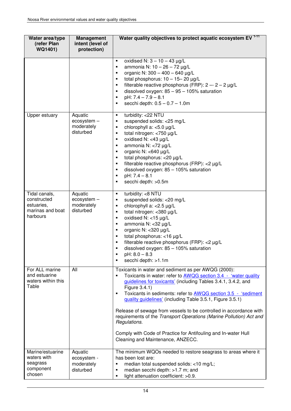| Water area/type<br>(refer Plan<br>WQ1401)                                  | <b>Management</b><br>intent (level of<br>protection) | Water quality objectives to protect aquatic ecosystem EV <sup>1-11</sup>                                                                                                                                                                                                                                                                                                                                                                                                                                                                                                                                                   |
|----------------------------------------------------------------------------|------------------------------------------------------|----------------------------------------------------------------------------------------------------------------------------------------------------------------------------------------------------------------------------------------------------------------------------------------------------------------------------------------------------------------------------------------------------------------------------------------------------------------------------------------------------------------------------------------------------------------------------------------------------------------------------|
|                                                                            |                                                      | oxidised N: $3 - 10 - 43$ µg/L<br>$\blacksquare$<br>ammonia N: 10 - 26 - 72 µg/L<br>$\blacksquare$<br>organic N: $300 - 400 - 640$ µg/L<br>$\blacksquare$<br>total phosphorus: $10 - 15 - 20 \mu g/L$<br>$\blacksquare$<br>filterable reactive phosphorus (FRP): $2 - 2 - 2$ µg/L<br>٠<br>dissolved oxygen: $85 - 95 - 105\%$ saturation<br>٠<br>$pH: 7.4 - 7.9 - 8.1$<br>٠<br>secchi depth: $0.5 - 0.7 - 1.0$ m<br>٠                                                                                                                                                                                                      |
| Upper estuary                                                              | Aquatic<br>ecosystem -<br>moderately<br>disturbed    | turbidity: < 22 NTU<br>$\blacksquare$<br>suspended solids: < 25 mg/L<br>٠<br>chlorophyll a: $<$ 5.0 $\mu$ g/L<br>$\blacksquare$<br>total nitrogen: <750 µg/L<br>$\blacksquare$<br>oxidised N: $<$ 43 µg/L<br>٠<br>ammonia N: <72 µg/L<br>$\blacksquare$<br>organic N: <640 µg/L<br>$\blacksquare$<br>total phosphorus: < 20 µg/L<br>$\blacksquare$<br>filterable reactive phosphorus (FRP): <2 µg/L<br>$\blacksquare$<br>dissolved oxygen: $85 - 105\%$ saturation<br>٠<br>$pH: 7.4 - 8.1$<br>П<br>secchi depth: >0.5m<br>Ξ                                                                                                |
| Tidal canals,<br>constructed<br>estuaries,<br>marinas and boat<br>harbours | Aquatic<br>ecosystem -<br>moderately<br>disturbed    | turbidity: <8 NTU<br>$\blacksquare$<br>suspended solids: < 20 mg/L<br>٠<br>chlorophyll a: $<$ 2.5 $\mu$ g/L<br>٠<br>total nitrogen: < 380 µg/L<br>٠<br>oxidised $N: < 15 \mu g/L$<br>٠<br>ammonia N: <32 µg/L<br>$\blacksquare$<br>organic N: < 320 µg/L<br>$\blacksquare$<br>total phosphorus: <16 µg/L<br>$\blacksquare$<br>filterable reactive phosphorus (FRP): <2 µg/L<br>$\blacksquare$<br>dissolved oxygen: $85 - 105\%$ saturation<br>٠<br>$pH: 8.0 - 8.3$<br>$\blacksquare$<br>secchi depth: >1.1m<br>٠                                                                                                           |
| For ALL marine<br>and estuarine<br>waters within this<br>Table             | All                                                  | Toxicants in water and sediment as per AWQG (2000):<br>Toxicants in water: refer to <b>AWQG</b> section 3.4 - 'water quality<br>٠<br>guidelines for toxicants' (including Tables 3.4.1, 3.4.2, and<br>Figure 3.4.1)<br>Toxicants in sediments: refer to AWQG section 3.5 - 'sediment<br>٠<br>quality guidelines' (including Table 3.5.1, Figure 3.5.1)<br>Release of sewage from vessels to be controlled in accordance with<br>requirements of the Transport Operations (Marine Pollution) Act and<br>Regulations.<br>Comply with Code of Practice for Antifouling and In-water Hull<br>Cleaning and Maintenance, ANZECC. |
| Marine/estuarine<br>waters with<br>seagrass<br>component<br>chosen         | Aquatic<br>ecosystem -<br>moderately<br>disturbed    | The minimum WQOs needed to restore seagrass to areas where it<br>has been lost are:<br>median total suspended solids: <10 mg/L;<br>٠<br>median secchi depth: >1.7 m; and<br>٠<br>light attenuation coefficient: >0.9.<br>$\blacksquare$                                                                                                                                                                                                                                                                                                                                                                                    |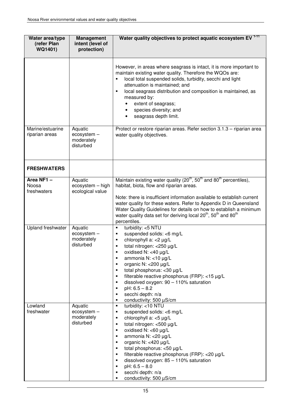| Water area/type<br>(refer Plan<br>WQ1401) | <b>Management</b><br>intent (level of<br>protection) | Water quality objectives to protect aquatic ecosystem EV <sup>1-11</sup>                                                                                                                                                                                                                                                                                                                                                                                                                                                       |
|-------------------------------------------|------------------------------------------------------|--------------------------------------------------------------------------------------------------------------------------------------------------------------------------------------------------------------------------------------------------------------------------------------------------------------------------------------------------------------------------------------------------------------------------------------------------------------------------------------------------------------------------------|
|                                           |                                                      | However, in areas where seagrass is intact, it is more important to<br>maintain existing water quality. Therefore the WQOs are:<br>local total suspended solids, turbidity, secchi and light<br>$\blacksquare$<br>attenuation is maintained; and<br>local seagrass distribution and composition is maintained, as<br>$\blacksquare$<br>measured by:<br>extent of seagrass;<br>$\bullet$<br>species diversity; and<br>seagrass depth limit.                                                                                     |
| Marine/estuarine<br>riparian areas        | Aquatic<br>ecosystem -<br>moderately<br>disturbed    | Protect or restore riparian areas. Refer section 3.1.3 - riparian area<br>water quality objectives.                                                                                                                                                                                                                                                                                                                                                                                                                            |
| <b>FRESHWATERS</b>                        |                                                      |                                                                                                                                                                                                                                                                                                                                                                                                                                                                                                                                |
| Area NF1-<br>Noosa<br>freshwaters         | Aquatic<br>ecosystem - high<br>ecological value      | Maintain existing water quality $(20^{th}, 50^{th})$ and $80^{th}$ percentiles),<br>habitat, biota, flow and riparian areas.<br>Note: there is insufficient information available to establish current<br>water quality for these waters. Refer to Appendix D in Queensland<br>Water Quality Guidelines for details on how to establish a minimum<br>water quality data set for deriving local 20 <sup>th</sup> , 50 <sup>th</sup> and 80 <sup>th</sup><br>percentiles.                                                        |
| <b>Upland freshwater</b>                  | Aquatic<br>ecosystem -<br>moderately<br>disturbed    | turbidity: <5 NTU<br>٠<br>suspended solids: <6 mg/L<br>٠<br>chlorophyll a: <2 µg/L<br>٠<br>total nitrogen: < 250 µg/L<br>$\blacksquare$<br>oxidised N: <40 µg/L<br>ammonia N: <10 µg/L<br>٠<br>organic N: < 200 µg/L<br>٠<br>total phosphorus: < 30 µg/L<br>٠<br>filterable reactive phosphorus (FRP): <15 µg/L<br>٠<br>dissolved oxygen: $90 - 110\%$ saturation<br>٠<br>$pH: 6.5 - 8.2$<br>٠<br>secchi depth: n/a<br>$\blacksquare$<br>conductivity: 500 µS/cm<br>٠                                                          |
| Lowland<br>freshwater                     | Aquatic<br>ecosystem -<br>moderately<br>disturbed    | turbidity: <10 NTU<br>$\blacksquare$<br>suspended solids: <6 mg/L<br>٠<br>chlorophyll $a: <5 \mu g/L$<br>٠<br>total nitrogen: <500 µg/L<br>٠<br>oxidised $N$ : <60 $\mu$ g/L<br>$\blacksquare$<br>ammonia N: < 20 µg/L<br>٠<br>organic N: <420 µg/L<br>$\blacksquare$<br>total phosphorus: <50 µg/L<br>$\blacksquare$<br>filterable reactive phosphorus (FRP): < 20 µg/L<br>٠<br>dissolved oxygen: $85 - 110\%$ saturation<br>$\blacksquare$<br>$pH: 6.5 - 8.0$<br>٠<br>secchi depth: n/a<br>٠<br>conductivity: 500 µS/cm<br>٠ |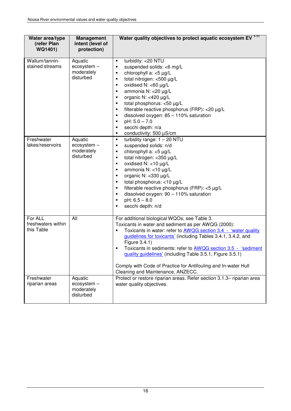| Water area/type<br>(refer Plan              | <b>Management</b><br>intent (level of             | Water quality objectives to protect aquatic ecosystem EV <sup>1-11</sup>                                                                                                                                                                                                                                                                                                                                                                                                                               |
|---------------------------------------------|---------------------------------------------------|--------------------------------------------------------------------------------------------------------------------------------------------------------------------------------------------------------------------------------------------------------------------------------------------------------------------------------------------------------------------------------------------------------------------------------------------------------------------------------------------------------|
| WQ1401)                                     | protection)                                       |                                                                                                                                                                                                                                                                                                                                                                                                                                                                                                        |
| Wallum/tannin-<br>stained streams           | Aquatic<br>ecosystem -<br>moderately<br>disturbed | turbidity: < 20 NTU<br>$\blacksquare$<br>suspended solids: <6 mg/L<br>٠<br>chlorophyll a: <5 µg/L<br>٠<br>total nitrogen: <500 µg/L<br>٠<br>oxidised N: <60 µg/L<br>٠<br>ammonia N: < 20 µg/L<br>$\blacksquare$<br>organic N: <420 µg/L<br>$\blacksquare$<br>total phosphorus: <50 µg/L<br>٠<br>filterable reactive phosphorus (FRP): < 20 µg/L<br>٠<br>dissolved oxygen: $85 - 110\%$ saturation<br>٠<br>$pH: 5.0 - 7.0$<br>٠<br>secchi depth: n/a<br>٠<br>conductivity: 500 µS/cm<br>٠               |
| Freshwater<br>lakes/reservoirs              | Aquatic<br>ecosystem -<br>moderately<br>disturbed | turbidity range: $1 - 20$ NTU<br>٠<br>suspended solids: n/d<br>٠<br>chlorophyll a: <5 µg/L<br>٠<br>total nitrogen: < 350 µg/L<br>٠<br>oxidised N: $<$ 10 µg/L<br>٠<br>ammonia N: <10 µg/L<br>٠<br>organic N: <330 µg/L<br>$\blacksquare$<br>total phosphorus: <10 µg/L<br>$\blacksquare$<br>filterable reactive phosphorus (FRP): <5 µg/L<br>٠<br>dissolved oxygen: $90 - 110\%$ saturation<br>٠<br>$pH: 6.5 - 8.0$<br>٠<br>secchi depth: n/d<br>٠                                                     |
| For ALL<br>freshwaters within<br>this Table | All                                               | For additional biological WQOs, see Table 3.<br>Toxicants in water and sediment as per AWQG (2000):<br>Toxicants in water: refer to AWQG section 3.4 - 'water quality<br>Ξ<br>guidelines for toxicants' (including Tables 3.4.1, 3.4.2, and<br>Figure 3.4.1)<br>Toxicants in sediments: refer to AWQG section 3.5 - 'sediment<br>٠<br>quality guidelines' (including Table 3.5.1, Figure 3.5.1)<br>Comply with Code of Practice for Antifouling and In-water Hull<br>Cleaning and Maintenance, ANZECC. |
| Freshwater<br>riparian areas                | Aquatic<br>ecosystem -<br>moderately<br>disturbed | Protect or restore riparian areas. Refer section 3.1.3- riparian area<br>water quality objectives.                                                                                                                                                                                                                                                                                                                                                                                                     |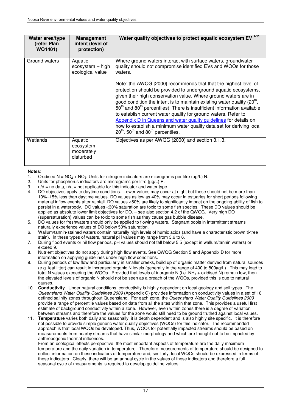| Water area/type<br>(refer Plan<br>WQ1401) | <b>Management</b><br>intent (level of<br>protection) | Water quality objectives to protect aquatic ecosystem EV <sup>1-11</sup>                                                                                                                                                                                                                                                                                                                                                                                                                                                                                                                                                                                                |
|-------------------------------------------|------------------------------------------------------|-------------------------------------------------------------------------------------------------------------------------------------------------------------------------------------------------------------------------------------------------------------------------------------------------------------------------------------------------------------------------------------------------------------------------------------------------------------------------------------------------------------------------------------------------------------------------------------------------------------------------------------------------------------------------|
| Ground waters                             | Aquatic<br>ecosystem - high<br>ecological value      | Where ground waters interact with surface waters, groundwater<br>quality should not compromise identified EVs and WQOs for those<br>waters.                                                                                                                                                                                                                                                                                                                                                                                                                                                                                                                             |
|                                           |                                                      | Note: the AWQG [2000] recommends that that the highest level of<br>protection should be provided to underground aquatic ecosystems,<br>given their high conservation value. Where ground waters are in<br>good condition the intent is to maintain existing water quality $(20th)$ ,<br>50 <sup>th</sup> and 80 <sup>th</sup> percentiles). There is insufficient information available<br>to establish current water quality for ground waters. Refer to<br>Appendix D in Queensland water quality guidelines for details on<br>how to establish a minimum water quality data set for deriving local<br>$20^{th}$ , 50 <sup>th</sup> and 80 <sup>th</sup> percentiles. |
| Wetlands                                  | Aquatic<br>ecosystem -<br>moderately<br>disturbed    | Objectives as per AWQG (2000) and section 3.1.3.                                                                                                                                                                                                                                                                                                                                                                                                                                                                                                                                                                                                                        |

#### **Notes**:

- 1. Oxidised N =  $NO<sub>2</sub> + NO<sub>3</sub>$ . Units for nitrogen indicators are micrograms per litre ( $\mu$ g/L) N.
- 2. Units for phosphorus indicators are micrograms per litre  $(uq/L)$  P.
- 3.  $n/d = n$  data,  $n/a = \text{not applicable}$  for this indicator and water type.
- 4. DO objectives apply to daytime conditions. Lower values may occur at night but these should not be more than 10%–15% less than daytime values. DO values as low as 40% may occur in estuaries for short periods following material inflow events after rainfall. DO values <50% are likely to significantly impact on the ongoing ability of fish to persist in a waterbody. DO values <30% saturation are toxic to some fish species. These DO values should be applied as absolute lower limit objectives for DO. – see also section 4.2 of the QWQG. Very high DO (supersaturation) values can be toxic to some fish as they cause gas bubble disease.
- 5. DO values for freshwaters should only be applied to flowing waters. Stagnant pools in intermittent streams naturally experience values of DO below 50% saturation.
- 6. Wallum/tannin-stained waters contain naturally high levels of humic acids (and have a characteristic brown ti-tree stain). In these types of waters, natural pH values may range from 3.6 to 6.
- 7. During flood events or nil flow periods, pH values should not fall below 5.5 (except in wallum/tannin waters) or exceed 9.
- 8. Nutrient objectives do not apply during high flow events. See QWQG Section 5 and Appendix D for more information on applying guidelines under high flow conditions.
- 9. During periods of low flow and particularly in smaller creeks, build up of organic matter derived from natural sources (e.g. leaf litter) can result in increased organic N levels (generally in the range of 400 to 800µg/L). This may lead to total N values exceeding the WQOs. Provided that levels of inorganic N (i.e.  $NH<sub>3</sub> +$  oxidised N) remain low, then the elevated levels of organic N should not be seen as a breach of the WQOs, provided this is due to natural causes.
- 10. **Conductivity**. Under natural conditions, conductivity is highly dependent on local geology and soil types. The Queensland Water Quality Guidelines 2009 (Appendix G) provides information on conductivity values in a set of 18 defined salinity zones throughout Queensland. For each zone, the Queensland Water Quality Guidelines 2009 provide a range of percentile values based on data from all the sites within that zone. This provides a useful first estimate of background conductivity within a zone. However, even within zones there is a degree of variation between streams and therefore the values for the zone would still need to be ground truthed against local values.
- 11. **Temperature** varies both daily and seasonally, it is depth dependent and is also highly site specific. It is therefore not possible to provide simple generic water quality objectives (WQOs) for this indicator. The recommended approach is that local WQOs be developed. Thus, WQOs for potentially impacted streams should be based on measurements from nearby streams that have similar morphology and which are thought not to be impacted by anthropogenic thermal influences.

From an ecological effects perspective, the most important aspects of temperature are the daily maximum temperature and the daily variation in temperature. Therefore measurements of temperature should be designed to collect information on these indicators of temperature and, similarly, local WQOs should be expressed in terms of these indicators. Clearly, there will be an annual cycle in the values of these indicators and therefore a full seasonal cycle of measurements is required to develop guideline values.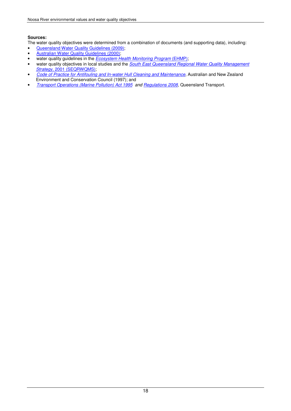#### **Sources:**

The water quality objectives were determined from a combination of documents (and supporting data), including:

- Queensland Water Quality Guidelines (2009);
- Australian Water Quality Guidelines (2000);
- water quality guidelines in the **Ecosystem Health Monitoring Program (EHMP)**;
- water quality objectives in local studies and the South East Queensland Regional Water Quality Management Strategy, 2001 (SEQRWQMS);
- Code of Practice for Antifouling and In-water Hull Cleaning and Maintenance, Australian and New Zealand Environment and Conservation Council (1997); and
- Transport Operations (Marine Pollution) Act 1995 and Regulations 2008, Queensland Transport.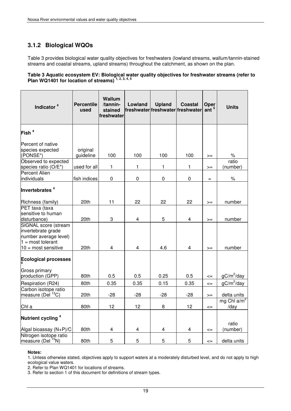### **3.1.2 Biological WQOs**

Table 3 provides biological water quality objectives for freshwaters (lowland streams, wallum/tannin-stained streams and coastal streams, upland streams) throughout the catchment, as shown on the plan.

#### **Table 3 Aquatic ecosystem EV: Biological water quality objectives for freshwater streams (refer to Plan WQ1401 for location of streams) 1, 2, 3, 4, 5**

| Indicator <sup>4</sup>                                                                                                            | <b>Percentile</b><br>used | Wallum<br>/tannin-<br>stained<br>freshwater | Lowland                 | <b>Upland</b>  | <b>Coastal</b><br>freshwater freshwater freshwater | Oper<br>ant <sup>5</sup> | <b>Units</b>           |
|-----------------------------------------------------------------------------------------------------------------------------------|---------------------------|---------------------------------------------|-------------------------|----------------|----------------------------------------------------|--------------------------|------------------------|
| Fish <sup>4</sup>                                                                                                                 |                           |                                             |                         |                |                                                    |                          |                        |
| Percent of native<br>species expected<br>(PONSE*)                                                                                 | original<br>guideline     | 100                                         | 100                     | 100            | 100                                                | $>=$                     | $\%$                   |
| Observed to expected<br>species ratio (O/E*)                                                                                      | used for all              | $\mathbf{1}$                                | $\mathbf{1}$            | $\mathbf{1}$   | 1                                                  | $>=$                     | ratio<br>(number)      |
| <b>Percent Alien</b><br>individuals                                                                                               | fish indices              | $\pmb{0}$                                   | $\pmb{0}$               | $\pmb{0}$      | $\pmb{0}$                                          | $=$                      | $\%$                   |
| Invertebrates <sup>4</sup>                                                                                                        |                           |                                             |                         |                |                                                    |                          |                        |
| Richness (family)                                                                                                                 | 20th                      | 11                                          | 22                      | 22             | 22                                                 | $>=$                     | number                 |
| PET taxa (taxa<br>sensitive to human<br>disturbance)                                                                              | 20th                      | 3                                           | $\overline{4}$          | 5              | 4                                                  | $>=$                     | number                 |
| SIGNAL score (stream<br>invertebrate grade<br>number average level)<br>$1 = \text{most tolerant}$<br>$10 = \text{most sensitive}$ | 20th                      | $\overline{4}$                              | $\overline{4}$          | 4.6            | 4                                                  | $>=$                     | number                 |
| <b>Ecological processes</b>                                                                                                       |                           |                                             |                         |                |                                                    |                          |                        |
| Gross primary<br>production (GPP)                                                                                                 | 80th                      | 0.5                                         | 0.5                     | 0.25           | 0.5                                                | $\leq$                   | $gC/m^2$ /day          |
| Respiration (R24)                                                                                                                 | 80th                      | 0.35                                        | 0.35                    | 0.15           | 0.35                                               | $\leq$                   | $gC/m^2$ /day          |
| Carbon isotope ratio<br>measure (Del <sup>13</sup> C)                                                                             | 20th                      | $-28$                                       | $-28$                   | $-28$          | $-28$                                              | $>=$                     | delta units            |
| Chl a                                                                                                                             | 80th                      | 12                                          | 12                      | 8              | 12                                                 | $\leq$                   | mg Chl $a/m^2$<br>/day |
| Nutrient cycling <sup>4</sup>                                                                                                     |                           |                                             |                         |                |                                                    |                          | ratio                  |
| Algal bioassay (N+P)/C                                                                                                            | 80th                      | 4                                           | $\overline{\mathbf{4}}$ | $\overline{4}$ | 4                                                  | $\leq$                   | (number)               |
| Nitrogen isotope ratio<br>measure (Del 15N)                                                                                       | 80th                      | 5                                           | 5                       | 5              | 5                                                  | $\leq$                   | delta units            |

#### **Notes:**

1. Unless otherwise stated, objectives apply to support waters at a moderately disturbed level, and do not apply to high ecological value waters.

2. Refer to Plan WQ1401 for locations of streams.

3. Refer to section 1 of this document for definitions of stream types.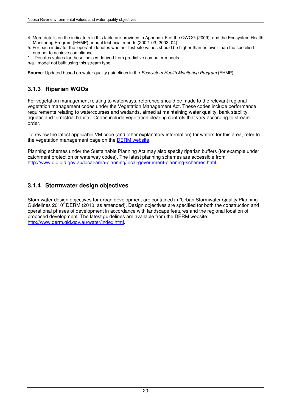- 4. More details on the indicators in this table are provided in Appendix E of the QWQG (2009), and the Ecosystem Health Monitoring Program (EHMP) annual technical reports (2002–03, 2003–04).
- 5. For each indicator the 'operant' denotes whether test-site values should be higher than or lower than the specified number to achieve compliance.
- Denotes values for these indices derived from predictive computer models.
- n/a model not built using this stream type.

**Source**: Updated based on water quality guidelines in the Ecosystem Health Monitoring Program (EHMP).

### **3.1.3 Riparian WQOs**

For vegetation management relating to waterways, reference should be made to the relevant regional vegetation management codes under the Vegetation Management Act. These codes include performance requirements relating to watercourses and wetlands, aimed at maintaining water quality, bank stability, aquatic and terrestrial habitat. Codes include vegetation clearing controls that vary according to stream order.

To review the latest applicable VM code (and other explanatory information) for waters for this area, refer to the vegetation management page on the DERM website.

Planning schemes under the Sustainable Planning Act may also specify riparian buffers (for example under catchment protection or waterway codes). The latest planning schemes are accessible from http://www.dip.qld.gov.au/local-area-planning/local-government-planning-schemes.html.

### **3.1.4 Stormwater design objectives**

Stormwater design objectives for urban development are contained in "Urban Stormwater Quality Planning Guidelines 2010" DERM (2010, as amended). Design objectives are specified for both the construction and operational phases of development in accordance with landscape features and the regional location of proposed development. The latest guidelines are available from the DERM website: http://www.derm.qld.gov.au/water/index.html.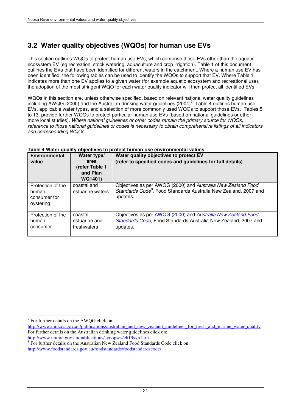## **3.2 Water quality objectives (WQOs) for human use EVs**

This section outlines WQOs to protect human use EVs, which comprise those EVs other than the aquatic ecosystem EV (eg recreation, stock watering, aquaculture and crop irrigation). Table 1 of this document outlines the EVs that have been identified for different waters in the catchment. Where a human use EV has been identified, the following tables can be used to identify the WQOs to support that EV. Where Table 1 indicates more than one EV applies to a given water (for example aquatic ecosystem and recreational use), the adoption of the most stringent WQO for each water quality indicator will then protect all identified EVs.

WQOs in this section are, unless otherwise specified, based on relevant national water quality guidelines including AWQG (2000) and the Australian drinking water guidelines (2004)<sup>7</sup>. Table 4 outlines human use EVs, applicable water types, and a selection of more commonly used WQOs to support those EVs. Tables 5 to 13 provide further WQOs to protect particular human use EVs (based on national guidelines or other more local studies). Where national guidelines or other codes remain the primary source for WQOs, reference to those national guidelines or codes is necessary to obtain comprehensive listings of all indicators and corresponding WQOs.

| <b>Environmental</b>                                    | Water type/                              | Water quality objectives to protect EV                                                                                                                   |
|---------------------------------------------------------|------------------------------------------|----------------------------------------------------------------------------------------------------------------------------------------------------------|
| value                                                   | area<br>(refer Table 1                   | (refer to specified codes and guidelines for full details)                                                                                               |
|                                                         | and Plan<br>WQ1401)                      |                                                                                                                                                          |
| Protection of the<br>human<br>consumer for<br>oystering | coastal and<br>estuarine waters          | Objectives as per AWQG (2000) and Australia New Zealand Food<br>Standards Code <sup>8</sup> , Food Standards Australia New Zealand, 2007 and<br>updates. |
| Protection of the<br>human<br>consumer                  | coastal,<br>estuarine and<br>freshwaters | Objectives as per AWQG (2000) and Australia New Zealand Food<br>Standards Code, Food Standards Australia New Zealand, 2007 and<br>updates.               |

#### **Table 4 Water quality objectives to protect human use environmental values**

 $\overline{a}$  $7$  For further details on the AWQG click on:

http://www.mincos.gov.au/publications/australian\_and\_new\_zealand\_guidelines\_for\_fresh\_and\_marine\_water\_quality For further details on the Australian drinking water guidelines click on: http://www.nhmrc.gov.au/publications/synopses/eh19syn.htm

<sup>&</sup>lt;sup>8</sup> For further details on the Australian New Zealand Food Standards Code click on: http://www.foodstandards.gov.au/foodstandards/foodstandardscode/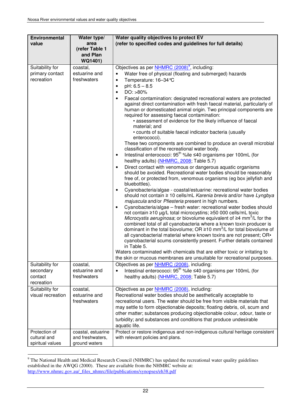| <b>Environmental</b>               | Water type/                                   | Water quality objectives to protect EV                                                                                                                                                                                                                                                                                                                                                                                                                                                                                                                                                                                                                                                                                                                                                                                                                                                                                                                                                                                                                                                                                                                                                      |
|------------------------------------|-----------------------------------------------|---------------------------------------------------------------------------------------------------------------------------------------------------------------------------------------------------------------------------------------------------------------------------------------------------------------------------------------------------------------------------------------------------------------------------------------------------------------------------------------------------------------------------------------------------------------------------------------------------------------------------------------------------------------------------------------------------------------------------------------------------------------------------------------------------------------------------------------------------------------------------------------------------------------------------------------------------------------------------------------------------------------------------------------------------------------------------------------------------------------------------------------------------------------------------------------------|
| value                              | area<br>(refer Table 1<br>and Plan<br>WQ1401) | (refer to specified codes and guidelines for full details)                                                                                                                                                                                                                                                                                                                                                                                                                                                                                                                                                                                                                                                                                                                                                                                                                                                                                                                                                                                                                                                                                                                                  |
| Suitability for                    | coastal,                                      | Objectives as per <b>NHMRC</b> (2008) <sup>9</sup> , including:                                                                                                                                                                                                                                                                                                                                                                                                                                                                                                                                                                                                                                                                                                                                                                                                                                                                                                                                                                                                                                                                                                                             |
| primary contact                    | estuarine and                                 | Water free of physical (floating and submerged) hazards                                                                                                                                                                                                                                                                                                                                                                                                                                                                                                                                                                                                                                                                                                                                                                                                                                                                                                                                                                                                                                                                                                                                     |
| recreation                         | freshwaters                                   | Temperature: 16-34 °C<br>$\bullet$                                                                                                                                                                                                                                                                                                                                                                                                                                                                                                                                                                                                                                                                                                                                                                                                                                                                                                                                                                                                                                                                                                                                                          |
|                                    |                                               | $pH: 6.5 - 8.5$<br>$\bullet$<br>$DO: > 80\%$<br>$\bullet$                                                                                                                                                                                                                                                                                                                                                                                                                                                                                                                                                                                                                                                                                                                                                                                                                                                                                                                                                                                                                                                                                                                                   |
|                                    |                                               | Faecal contamination: designated recreational waters are protected<br>$\bullet$<br>against direct contamination with fresh faecal material, particularly of<br>human or domesticated animal origin. Two principal components are<br>required for assessing faecal contamination:<br>• assessment of evidence for the likely influence of faecal<br>material; and<br>• counts of suitable faecal indicator bacteria (usually                                                                                                                                                                                                                                                                                                                                                                                                                                                                                                                                                                                                                                                                                                                                                                 |
|                                    |                                               | enterococci).<br>These two components are combined to produce an overall microbial                                                                                                                                                                                                                                                                                                                                                                                                                                                                                                                                                                                                                                                                                                                                                                                                                                                                                                                                                                                                                                                                                                          |
|                                    |                                               | classification of the recreational water body.<br>Intestinal enterococci: $95^{th}$ %ile ≤40 organisms per 100mL (for<br>healthy adults) (NHMRC, 2008; Table 5.7)                                                                                                                                                                                                                                                                                                                                                                                                                                                                                                                                                                                                                                                                                                                                                                                                                                                                                                                                                                                                                           |
|                                    |                                               | Direct contact with venomous or dangerous aquatic organisms<br>$\bullet$<br>should be avoided. Recreational water bodies should be reasonably<br>free of, or protected from, venomous organisms (eg box jellyfish and<br>bluebottles).<br>Cyanobacteria/algae - coastal/estuarine: recreational water bodies<br>should not contain ≥ 10 cells/mL Karenia brevis and/or have Lyngbya<br>majuscula and/or Pfiesteria present in high numbers.<br>Cyanobacteria/algae - fresh water: recreational water bodies should<br>$\bullet$<br>not contain ≥10 µg/L total microcystins; ≥50 000 cells/mL toxic<br><i>Microcystis aeruginosa</i> ; or biovolume equivalent of $\geq 4$ mm <sup>3</sup> /L for the<br>combined total of all cyanobacteria where a known toxin producer is<br>dominant in the total biovolume; OR $\geq$ 10 mm <sup>3</sup> /L for total biovolume of<br>all cyanobacterial material where known toxins are not present; OR.<br>cyanobacterial scums consistently present. Further details contained<br>in Table 5.<br>Waters contaminated with chemicals that are either toxic or irritating to<br>the skin or mucous membranes are unsuitable for recreational purposes. |
| Suitability for                    | coastal,                                      | Objectives as per NHMRC (2008), including:                                                                                                                                                                                                                                                                                                                                                                                                                                                                                                                                                                                                                                                                                                                                                                                                                                                                                                                                                                                                                                                                                                                                                  |
| secondary<br>contact<br>recreation | estuarine and<br>freshwaters                  | Intestinal enterococci: 95 <sup>th</sup> %ile ≤40 organisms per 100mL (for<br>$\bullet$<br>healthy adults) (NHMRC, 2008; Table 5.7)                                                                                                                                                                                                                                                                                                                                                                                                                                                                                                                                                                                                                                                                                                                                                                                                                                                                                                                                                                                                                                                         |
| Suitability for                    | coastal,                                      | Objectives as per <b>NHMRC</b> (2008), including:                                                                                                                                                                                                                                                                                                                                                                                                                                                                                                                                                                                                                                                                                                                                                                                                                                                                                                                                                                                                                                                                                                                                           |
| visual recreation                  | estuarine and                                 | Recreational water bodies should be aesthetically acceptable to                                                                                                                                                                                                                                                                                                                                                                                                                                                                                                                                                                                                                                                                                                                                                                                                                                                                                                                                                                                                                                                                                                                             |
|                                    | freshwaters                                   | recreational users. The water should be free from visible materials that<br>may settle to form objectionable deposits; floating debris, oil, scum and<br>other matter; substances producing objectionable colour, odour, taste or<br>turbidity; and substances and conditions that produce undesirable                                                                                                                                                                                                                                                                                                                                                                                                                                                                                                                                                                                                                                                                                                                                                                                                                                                                                      |
|                                    |                                               | aquatic life.                                                                                                                                                                                                                                                                                                                                                                                                                                                                                                                                                                                                                                                                                                                                                                                                                                                                                                                                                                                                                                                                                                                                                                               |
| Protection of                      | coastal, estuarine                            | Protect or restore indigenous and non-indigenous cultural heritage consistent                                                                                                                                                                                                                                                                                                                                                                                                                                                                                                                                                                                                                                                                                                                                                                                                                                                                                                                                                                                                                                                                                                               |
| cultural and                       | and freshwaters,                              | with relevant policies and plans.                                                                                                                                                                                                                                                                                                                                                                                                                                                                                                                                                                                                                                                                                                                                                                                                                                                                                                                                                                                                                                                                                                                                                           |
| spiritual values                   | ground waters                                 |                                                                                                                                                                                                                                                                                                                                                                                                                                                                                                                                                                                                                                                                                                                                                                                                                                                                                                                                                                                                                                                                                                                                                                                             |

<sup>&</sup>lt;sup>9</sup> The National Health and Medical Research Council (NHMRC) has updated the recreational water quality guidelines established in the AWQG (2000). These are available from the NHMRC website at: http://www.nhmrc.gov.au/\_files\_nhmrc/file/publications/synopses/eh38.pdf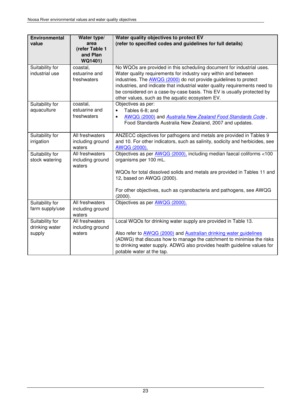| <b>Environmental</b><br>value | Water type/<br>area                   | Water quality objectives to protect EV<br>(refer to specified codes and guidelines for full details)                                                      |
|-------------------------------|---------------------------------------|-----------------------------------------------------------------------------------------------------------------------------------------------------------|
|                               | (refer Table 1<br>and Plan<br>WQ1401) |                                                                                                                                                           |
| Suitability for               | coastal,                              | No WQOs are provided in this scheduling document for industrial uses.                                                                                     |
| industrial use                | estuarine and                         | Water quality requirements for industry vary within and between                                                                                           |
|                               | freshwaters                           | industries. The <b>AWQG</b> (2000) do not provide guidelines to protect                                                                                   |
|                               |                                       | industries, and indicate that industrial water quality requirements need to                                                                               |
|                               |                                       | be considered on a case-by-case basis. This EV is usually protected by                                                                                    |
|                               |                                       | other values, such as the aquatic ecosystem EV.                                                                                                           |
| Suitability for               | coastal,<br>estuarine and             | Objectives as per:                                                                                                                                        |
| aquaculture                   | freshwaters                           | Tables 6-8; and<br>$\bullet$                                                                                                                              |
|                               |                                       | AWQG (2000) and Australia New Zealand Food Standards Code,<br>Food Standards Australia New Zealand, 2007 and updates.                                     |
|                               |                                       |                                                                                                                                                           |
| Suitability for               | All freshwaters                       | ANZECC objectives for pathogens and metals are provided in Tables 9                                                                                       |
| irrigation                    | including ground                      | and 10. For other indicators, such as salinity, sodicity and herbicides, see                                                                              |
|                               | waters                                | AWQG (2000).                                                                                                                                              |
| Suitability for               | All freshwaters                       | Objectives as per AWQG (2000), including median faecal coliforms <100                                                                                     |
| stock watering                | including ground                      | organisms per 100 mL.                                                                                                                                     |
|                               | waters                                |                                                                                                                                                           |
|                               |                                       | WQOs for total dissolved solids and metals are provided in Tables 11 and<br>12, based on AWQG (2000).                                                     |
|                               |                                       |                                                                                                                                                           |
|                               |                                       | For other objectives, such as cyanobacteria and pathogens, see AWQG                                                                                       |
|                               |                                       | (2000).                                                                                                                                                   |
| Suitability for               | All freshwaters                       | Objectives as per AWQG (2000).                                                                                                                            |
| farm supply/use               | including ground                      |                                                                                                                                                           |
|                               | waters                                |                                                                                                                                                           |
| Suitability for               | All freshwaters                       | Local WQOs for drinking water supply are provided in Table 13.                                                                                            |
| drinking water                | including ground<br>waters            |                                                                                                                                                           |
| supply                        |                                       | Also refer to <b>AWQG</b> (2000) and <b>Australian drinking water guidelines</b><br>(ADWG) that discuss how to manage the catchment to minimise the risks |
|                               |                                       | to drinking water supply. ADWG also provides health guideline values for                                                                                  |
|                               |                                       | potable water at the tap.                                                                                                                                 |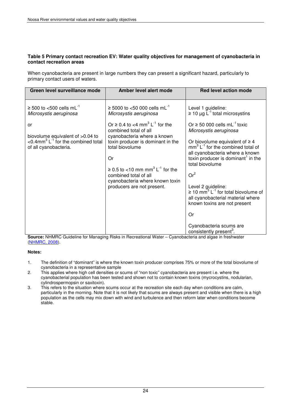#### **Table 5 Primary contact recreation EV: Water quality objectives for management of cyanobacteria in contact recreation areas**

When cyanobacteria are present in large numbers they can present a significant hazard, particularly to primary contact users of waters.

| Green level surveillance mode                                                                                                                                                                 | Amber level alert mode                                                                                                                                                                                                                                                                                                                                                                                            | <b>Red level action mode</b>                                                                                                                                                                                                                                                                                                                                                                                                                                                                                                                                                                        |
|-----------------------------------------------------------------------------------------------------------------------------------------------------------------------------------------------|-------------------------------------------------------------------------------------------------------------------------------------------------------------------------------------------------------------------------------------------------------------------------------------------------------------------------------------------------------------------------------------------------------------------|-----------------------------------------------------------------------------------------------------------------------------------------------------------------------------------------------------------------------------------------------------------------------------------------------------------------------------------------------------------------------------------------------------------------------------------------------------------------------------------------------------------------------------------------------------------------------------------------------------|
| $\geq$ 500 to <500 cells mL <sup>-1</sup><br>Microsystis aeruginosa<br>or<br>biovolume equivalent of >0.04 to<br><0.4mm <sup>3</sup> $L^{-1}$ for the combined total<br>of all cyanobacteria. | ≥ 5000 to <50 000 cells mL <sup>-1</sup><br>Microsystis aeruginosa<br>Or $\geq$ 0.4 to <4 mm <sup>3</sup> L <sup>-1</sup> for the<br>combined total of all<br>cyanobacteria where a known<br>toxin producer is dominant in the<br>total biovolume<br>Or<br>$\geq$ 0.5 to <10 mm mm <sup>3</sup> L <sup>-1</sup> for the<br>combined total of all<br>cyanobacteria where known toxin<br>producers are not present. | Level 1 guideline:<br>$\geq 10 \mu g$ L <sup>-1</sup> total microsystins<br>Or $\geq$ 50 000 cells mL <sup>-1</sup> toxic<br>Microsystis aeruginosa<br>Or biovolume equivalent of $\geq 4$<br>$mm3 L-1$ for the combined total of<br>all cyanobacteria where a known<br>toxin producer is dominant <sup>1</sup> in the<br>total biovolume<br>Or <sup>2</sup><br>Level 2 guideline:<br>$\geq 10$ mm <sup>3</sup> L <sup>-1</sup> for total biovolume of<br>all cyanobacterial material where<br>known toxins are not present<br>Or<br>Cyanobacteria scums are<br>consistently present <sup>3</sup> . |

**Source:** NHMRC Guideline for Managing Risks in Recreational Water – Cyanobacteria and algae in freshwater (NHMRC, 2008).

#### **Notes:**

- 1. The definition of "dominant" is where the known toxin producer comprises 75% or more of the total biovolume of cyanobacteria in a representative sample
- 2. This applies where high cell densities or scums of "non toxic" cyanobacteria are present i.e. where the cyanobacterial population has been tested and shown not to contain known toxins (mycrocystins, nodularian, cylindrospermopsin or saxitoxin).
- 3. This refers to the situation where scums occur at the recreation site each day when conditions are calm, particularly in the morning. Note that it is not likely that scums are always present and visible when there is a high population as the cells may mix down with wind and turbulence and then reform later when conditions become stable.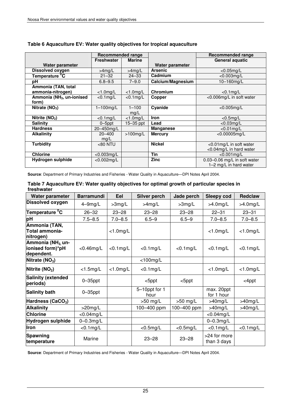|                                       | Recommended range |               |                   | Recommended range                |
|---------------------------------------|-------------------|---------------|-------------------|----------------------------------|
|                                       | <b>Freshwater</b> | <b>Marine</b> |                   | General aquatic                  |
| Water parameter                       |                   |               | Water parameter   |                                  |
| Dissolved oxygen                      | $>4$ mg/L         | $>4$ mg/L     | <b>Arsenic</b>    | $<$ 0.05mg/L                     |
| Temperature <sup>0</sup> C            | $21 - 32$         | $24 - 33$     | Cadmium           | $<$ 0.003mg/L                    |
| рH                                    | $6.8 - 9.5$       | $7 - 9.0$     | Calcium/Magnesium | 10-160mg/L                       |
| Ammonia (TAN, total                   |                   |               |                   |                                  |
| ammonia-nitrogen)                     | $<$ 1.0mg/L       | $<$ 1.0mg/L   | Chromium          | $<$ 0.1 $mq/L$                   |
| Ammonia (NH <sub>3</sub> , un-ionised | $<$ 0.1 $mg/L$    | $< 0.1$ mg/L  | Copper            | <0.006mg/L in soft water         |
| form)                                 |                   |               |                   |                                  |
| Nitrate (NO <sub>3</sub> )            | $1-100$ mg/L      | $1 - 100$     | Cyanide           | $< 0.005$ mg/L                   |
|                                       |                   | mg/L          |                   |                                  |
| Nitrite (NO <sub>2</sub> )            | $< 0.1$ mg/L      | $<$ 1.0mg/L   | <b>Iron</b>       | $<$ 0.5mg/L                      |
| <b>Salinity</b>                       | $0 - 5$ ppt       | 15–35 ppt     | Lead              | $<$ 0.03mg/L                     |
| <b>Hardness</b>                       | 20-450mg/L        |               | <b>Manganese</b>  | $<$ 0.01 $mg/L$                  |
| <b>Alkalinity</b>                     | $20 - 400$        | $>100$ mg/L   | <b>Mercury</b>    | $<$ 0.00005mg/L                  |
|                                       | mg/L              |               |                   |                                  |
| <b>Turbidity</b>                      | <80 NTU           |               | <b>Nickel</b>     | <0.01mg/L in soft water          |
|                                       |                   |               |                   | <0.04mg/L in hard water          |
| <b>Chlorine</b>                       | $<$ 0.003mg/L     |               | Tin               | $< 0.001$ mg/L                   |
| Hydrogen sulphide                     | $< 0.002$ mg/L    |               | <b>Zinc</b>       | $0.03 - 0.06$ mg/L in soft water |
|                                       |                   |               |                   | 1-2 mg/L in hard water           |

### **Table 6 Aquaculture EV: Water quality objectives for tropical aquaculture**

**Source**: Department of Primary Industries and Fisheries - Water Quality in Aquaculture—DPI Notes April 2004.

| Water parameter                                                | <b>Barramundi</b> | Eel            | Silver perch          | Jade perch     | <b>Sleepy cod</b>           | <b>Redclaw</b> |
|----------------------------------------------------------------|-------------------|----------------|-----------------------|----------------|-----------------------------|----------------|
| <b>Dissolved oxygen</b>                                        | 4-9mg/L           | $>3$ mg/L      | $>4$ mg/L             | $>3$ mg/L      | $>4.0$ mg/L                 | $>4.0$ mg/L    |
| Temperature <sup>o</sup> C                                     | $26 - 32$         | $23 - 28$      | $23 - 28$             | $23 - 28$      | $22 - 31$                   | $23 - 31$      |
| pH                                                             | $7.5 - 8.5$       | $7.0 - 8.5$    | $6.5 - 9$             | $6.5 - 9$      | $7.0 - 8.5$                 | $7.0 - 8.5$    |
| Ammonia (TAN,<br>Total ammonia-<br>nitrogen)                   |                   | $<$ 1.0mg/L    |                       |                | $<$ 1.0mg/L                 | $<$ 1.0mg/L    |
| Ammonia (NH <sub>3</sub> un-<br>ionised form)*pH<br>dependent. | $<$ 0.46mg/L      | $<$ 0.1 $mg/L$ | $< 0.1$ mg/L          | $<$ 0.1 $mg/L$ | $<$ 0.1 $mg/L$              | $< 0.1$ mg/L   |
| Nitrate (NO <sub>3</sub> )                                     |                   |                | $<$ 100mg/L           |                |                             |                |
| Nitrite $(NO2)$                                                | $<$ 1.5mg/L       | $<$ 1.0mg/L    | $<$ 0.1 $mg/L$        |                | $<$ 1.0mg/L                 | $<$ 1.0mg/L    |
| <b>Salinity (extended</b><br>periods)                          | $0 - 35$ ppt      |                | $<$ 5ppt              | $<$ 5ppt       |                             | <4ppt          |
| <b>Salinity bath</b>                                           | $0 - 35$ ppt      |                | 5-10ppt for 1<br>hour |                | max. 20ppt<br>for 1 hour    |                |
| Hardness (CaCO <sub>3</sub> )                                  |                   |                | $>50$ mg/L            | $>50$ mg/L     | $>40$ mg/L                  | $>40$ mg/L     |
| <b>Alkalinity</b>                                              | $>20$ mg/L        |                | 100-400 ppm           | 100-400 ppm    | $>40$ mg/L                  | $>40$ mg/L     |
| <b>Chlorine</b>                                                | $<$ 0.04mg/L      |                |                       |                | $<$ 0.04mg/L                |                |
| <b>Hydrogen sulphide</b>                                       | $0-0.3$ mg/L      |                |                       |                | $0-0.3$ mg/L                |                |
| Iron                                                           | $<$ 0.1 $mg/L$    |                | $<$ 0.5mg/L           | $<$ 0.5mg/L    | $<$ 0.1 $mg/L$              | $<$ 0.1 $mg/L$ |
| <b>Spawning</b><br>temperature                                 | Marine            |                | $23 - 28$             | $23 - 28$      | >24 for more<br>than 3 days |                |

#### **Table 7 Aquaculture EV: Water quality objectives for optimal growth of particular species in freshwater**

**Source**: Department of Primary Industries and Fisheries - Water Quality in Aquaculture—DPI Notes April 2004.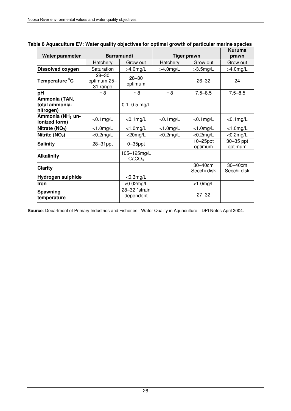| Water parameter                                | <b>Barramundi</b>                    |                                  | <b>Tiger prawn</b> |                        | Kuruma<br>prawn        |
|------------------------------------------------|--------------------------------------|----------------------------------|--------------------|------------------------|------------------------|
|                                                | Hatchery                             | Grow out                         | Hatchery           | Grow out               | Grow out               |
| Dissolved oxygen                               | Saturation                           | $>4.0$ mg/L                      | $>4.0$ mg/L        | $>3.5$ mg/L            | $>4.0$ mg/L            |
| Temperature <sup>o</sup> C                     | $28 - 30$<br>optimum 25-<br>31 range | $28 - 30$<br>optimum             |                    | $26 - 32$              | 24                     |
| рH                                             | $~\sim$ 8                            | $~\sim 8$                        | $~\sim$ 8          | $7.5 - 8.5$            | $7.5 - 8.5$            |
| Ammonia (TAN,<br>total ammonia-<br>nitrogen)   |                                      | $0.1 - 0.5$ mg/L                 |                    |                        |                        |
| Ammonia (NH <sub>3.</sub> un-<br>ionized form) | $<$ 0.1mg/L                          | $<$ 0.1 $mg/L$                   | $<$ 0.1 $mg/L$     | $<$ 0.1 $mg/L$         | $<$ 0.1 $mg/L$         |
| Nitrate $(NO3)$                                | $<$ 1.0mg/L                          | $<$ 1.0mg/L                      | $<$ 1.0mg/L        | $<$ 1.0mg/L            | $<$ 1.0mg/L            |
| Nitrite $(NO2)$                                | $<$ 0.2mg/L                          | $<$ 20mg/L                       | $<$ 0.2mg/L        | $<$ 0.2mg/L            | $<$ 0.2mg/L            |
| <b>Salinity</b>                                | 28-31ppt                             | $0 - 35$ ppt                     |                    | $10-25$ ppt<br>optimum | 30-35 ppt<br>optimum   |
| <b>Alkalinity</b>                              |                                      | 105-125mg/L<br>CaCO <sub>3</sub> |                    |                        |                        |
| <b>Clarity</b>                                 |                                      |                                  |                    | 30-40cm<br>Secchi disk | 30-40cm<br>Secchi disk |
| Hydrogen sulphide                              |                                      | $<$ 0.3mg/L                      |                    |                        |                        |
| <b>Iron</b>                                    |                                      | $<$ 0.02mg/L                     |                    | $<$ 1.0mg/L            |                        |
| Spawning<br>temperature                        |                                      | 28-32 *strain<br>dependent       |                    | $27 - 32$              |                        |

#### **Table 8 Aquaculture EV: Water quality objectives for optimal growth of particular marine species**

**Source**: Department of Primary Industries and Fisheries - Water Quality in Aquaculture—DPI Notes April 2004.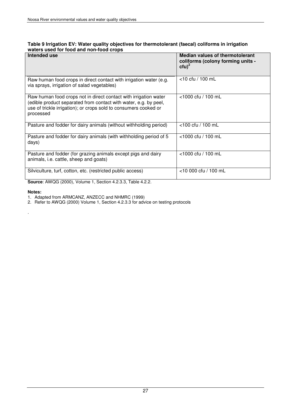#### **Table 9 Irrigation EV: Water quality objectives for thermotolerant (faecal) coliforms in irrigation waters used for food and non-food crops**

| Intended use                                                                                                                                                                                                          | Median values of thermotolerant<br>coliforms (colony forming units -<br>$ctu)^2$ |
|-----------------------------------------------------------------------------------------------------------------------------------------------------------------------------------------------------------------------|----------------------------------------------------------------------------------|
| Raw human food crops in direct contact with irrigation water (e.g.<br>via sprays, irrigation of salad vegetables)                                                                                                     | $<$ 10 cfu / 100 mL                                                              |
| Raw human food crops not in direct contact with irrigation water<br>(edible product separated from contact with water, e.g. by peel,<br>use of trickle irrigation); or crops sold to consumers cooked or<br>processed | $<$ 1000 cfu / 100 mL                                                            |
| Pasture and fodder for dairy animals (without withholding period)                                                                                                                                                     | $<$ 100 cfu / 100 mL                                                             |
| Pasture and fodder for dairy animals (with withholding period of 5<br>days)                                                                                                                                           | $<$ 1000 cfu / 100 mL                                                            |
| Pasture and fodder (for grazing animals except pigs and dairy<br>animals, i.e. cattle, sheep and goats)                                                                                                               | <1000 cfu / 100 mL                                                               |
| Silviculture, turf, cotton, etc. (restricted public access)                                                                                                                                                           | $<$ 10 000 cfu / 100 mL                                                          |

**Source**: AWQG (2000), Volume 1, Section 4.2.3.3, Table 4.2.2.

#### **Notes:**

.

- 1. Adapted from ARMCANZ, ANZECC and NHMRC (1999)
- 2. Refer to AWQG (2000) Volume 1, Section 4.2.3.3 for advice on testing protocols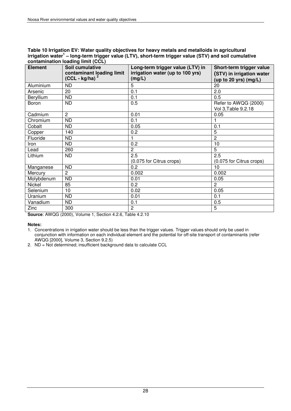#### **Table 10 Irrigation EV: Water quality objectives for heavy metals and metalloids in agricultural irrigation water<sup>1</sup> – long-term trigger value (LTV), short-term trigger value (STV) and soil cumulative contamination loading limit (CCL)**

| <b>Element</b> | Soil cumulative           | Long-term trigger value (LTV) in | Short-term trigger value  |
|----------------|---------------------------|----------------------------------|---------------------------|
|                | contaminant loading limit | irrigation water (up to 100 yrs) | (STV) in irrigation water |
|                | $(CCL - kg/ha)^2$         | (mg/L)                           | (up to 20 yrs) $(mg/L)$   |
| Aluminium      | <b>ND</b>                 | 5                                | 20                        |
| Arsenic        | 20                        | 0.1                              | 2.0                       |
| Beryllium      | <b>ND</b>                 | 0.1                              | 0.5                       |
| Boron          | <b>ND</b>                 | 0.5                              | Refer to AWQG (2000)      |
|                |                           |                                  | Vol 3, Table 9.2.18       |
| Cadmium        | $\overline{2}$            | 0.01                             | 0.05                      |
| Chromium       | <b>ND</b>                 | 0.1                              |                           |
| Cobalt         | <b>ND</b>                 | 0.05                             | 0.1                       |
| Copper         | 140                       | 0.2                              | 5                         |
| Fluoride       | <b>ND</b>                 | 1                                | $\overline{2}$            |
| Iron           | ND.                       | 0.2                              | 10                        |
| Lead           | 260                       | $\overline{2}$                   | 5                         |
| Lithium        | <b>ND</b>                 | 2.5                              | 2.5                       |
|                |                           | (0.075 for Citrus crops)         | (0.075 for Citrus crops)  |
| Manganese      | <b>ND</b>                 | 0.2                              | 10                        |
| Mercury        | $\overline{c}$            | 0.002                            | 0.002                     |
| Molybdenum     | <b>ND</b>                 | 0.01                             | 0.05                      |
| Nickel         | 85                        | 0.2                              | $\overline{2}$            |
| Selenium       | 10                        | 0.02                             | 0.05                      |
| Uranium        | <b>ND</b>                 | 0.01                             | 0.1                       |
| Vanadium       | <b>ND</b>                 | 0.1                              | 0.5                       |
| Zinc           | 300                       | $\mathbf{2}^{\prime}$            | 5                         |

**Source**: AWQG (2000), Volume 1, Section 4.2.6, Table 4.2.10

**Notes:** 

1. Concentrations in irrigation water should be less than the trigger values. Trigger values should only be used in conjunction with information on each individual element and the potential for off-site transport of contaminants (refer AWQG [2000], Volume 3, Section 9.2.5)

2. ND = Not determined; insufficient background data to calculate CCL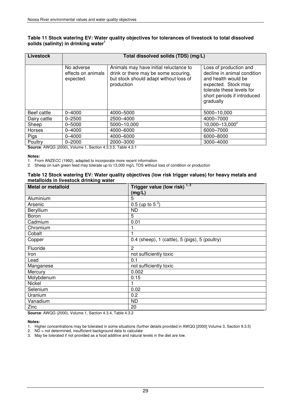#### **Table 11 Stock watering EV: Water quality objectives for tolerances of livestock to total dissolved solids (salinity) in drinking water<sup>1</sup>**

| Livestock    | Total dissolved solids (TDS) (mg/L)           |                                                                                                                                        |                                                                                                                                                                              |  |  |
|--------------|-----------------------------------------------|----------------------------------------------------------------------------------------------------------------------------------------|------------------------------------------------------------------------------------------------------------------------------------------------------------------------------|--|--|
|              | No adverse<br>effects on animals<br>expected. | Animals may have initial reluctance to<br>drink or there may be some scouring,<br>but stock should adapt without loss of<br>production | Loss of production and<br>decline in animal condition<br>and health would be<br>expected. Stock may<br>tolerate these levels for<br>short periods if introduced<br>gradually |  |  |
| Beef cattle  | $0 - 4000$                                    | 4000 - 5000                                                                                                                            | 5000-10,000                                                                                                                                                                  |  |  |
| Dairy cattle | $0 - 2500$                                    | 2500-4000                                                                                                                              | 4000-7000                                                                                                                                                                    |  |  |
| Sheep        | $0 - 5000$                                    | 5000-10,000                                                                                                                            | $10,000 - 13,000^2$                                                                                                                                                          |  |  |
| Horses       | $0 - 4000$                                    | 4000-6000                                                                                                                              | 6000-7000                                                                                                                                                                    |  |  |
| Pigs         | $0 - 4000$                                    | 4000-6000                                                                                                                              | 6000-8000                                                                                                                                                                    |  |  |
| Poultry      | $0 - 2000$<br>$\mathbf{A}$                    | 2000 - 3000                                                                                                                            | 3000-4000                                                                                                                                                                    |  |  |

**Source**: AWQG (2000), Volume 1, Section 4.3.3.5, Table 4.3.1

#### **Notes:**

1. From ANZECC (1992), adapted to incorporate more recent information

2. Sheep on lush green feed may tolerate up to 13,000 mg/L TDS without loss of condition or production

#### **Table 12 Stock watering EV: Water quality objectives (low risk trigger values) for heavy metals and metalloids in livestock drinking water**

| <b>Metal or metalloid</b> | Trigger value (low risk) $1, 2$                |
|---------------------------|------------------------------------------------|
|                           | (mg/L)                                         |
| Aluminium                 | 5                                              |
| Arsenic                   | 0.5 (up to 5 $^3$ )                            |
| Beryllium                 | <b>ND</b>                                      |
| Boron                     | 5                                              |
| Cadmium                   | 0.01                                           |
| Chromium                  |                                                |
| Cobalt                    |                                                |
| Copper                    | 0.4 (sheep), 1 (cattle), 5 (pigs), 5 (poultry) |
| Fluoride                  | 2                                              |
| Iron                      | not sufficiently toxic                         |
| Lead                      | 0.1                                            |
| Manganese                 | not sufficiently toxic                         |
| Mercury                   | 0.002                                          |
| Molybdenum                | 0.15                                           |
| Nickel                    |                                                |
| Selenium                  | 0.02                                           |
| Uranium                   | 0.2                                            |
| Vanadium                  | ND.                                            |
| Zinc                      | 20                                             |

**Source**: AWQG (2000), Volume 1, Section 4.3.4, Table 4.3.2

#### **Notes:**

- 1. Higher concentrations may be tolerated in some situations (further details provided in AWQG [2000] Volume 3, Section 9.3.5)
- 2. ND = not determined, insufficient background data to calculate
- 3. May be tolerated if not provided as a food additive and natural levels in the diet are low.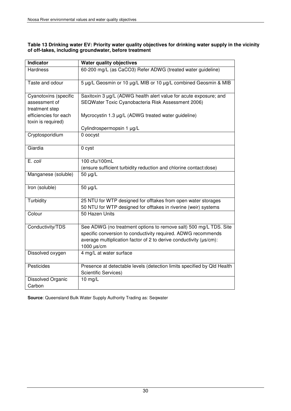#### **Table 13 Drinking water EV: Priority water quality objectives for drinking water supply in the vicinity of off-takes, including groundwater, before treatment**

| <b>Indicator</b>      | <b>Water quality objectives</b>                                         |
|-----------------------|-------------------------------------------------------------------------|
| <b>Hardness</b>       | 60-200 mg/L (as CaCO3) Refer ADWG (treated water guideline)             |
| Taste and odour       | 5 µg/L Geosmin or 10 µg/L MIB or 10 µg/L combined Geosmin & MIB         |
| Cyanotoxins (specific | Saxitoxin 3 µg/L (ADWG health alert value for acute exposure; and       |
| assessment of         | SEQWater Toxic Cyanobacteria Risk Assessment 2006)                      |
| treatment step        |                                                                         |
| efficiencies for each | Mycrocystin 1.3 µg/L (ADWG treated water guideline)                     |
| toxin is required)    |                                                                         |
| Cryptosporidium       | Cylindrospermopsin 1 µg/L<br>0 oocyst                                   |
|                       |                                                                         |
| Giardia               | 0 cyst                                                                  |
| E. coli               | 100 cfu/100mL                                                           |
|                       | (ensure sufficient turbidity reduction and chlorine contact:dose)       |
| Manganese (soluble)   | 50 µg/L                                                                 |
| Iron (soluble)        | 50 µg/L                                                                 |
| Turbidity             | 25 NTU for WTP designed for offtakes from open water storages           |
|                       | 50 NTU for WTP designed for offtakes in riverine (weir) systems         |
| Colour                | 50 Hazen Units                                                          |
| Conductivity/TDS      | See ADWG (no treatment options to remove salt) 500 mg/L TDS. Site       |
|                       | specific conversion to conductivity required. ADWG recommends           |
|                       | average multiplication factor of 2 to derive conductivity (µs/cm):      |
|                       | 1000 $\mu$ s/cm                                                         |
| Dissolved oxygen      | 4 mg/L at water surface                                                 |
| Pesticides            | Presence at detectable levels (detection limits specified by Qld Health |
|                       | <b>Scientific Services)</b>                                             |
| Dissolved Organic     | $10$ mg/L                                                               |
| Carbon                |                                                                         |

**Source**: Queensland Bulk Water Supply Authority Trading as: Seqwater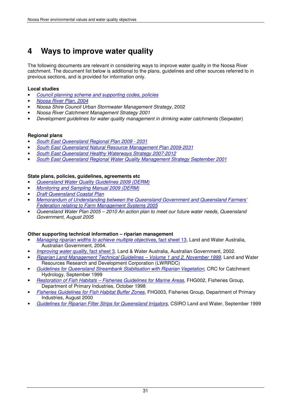## **4 Ways to improve water quality**

The following documents are relevant in considering ways to improve water quality in the Noosa River catchment. The document list below is additional to the plans, guidelines and other sources referred to in previous sections, and is provided for information only.

#### **Local studies**

- Council planning scheme and supporting codes, policies
- Noosa River Plan, 2004
- Noosa Shire Council Urban Stormwater Management Strategy, 2002
- Noosa River Catchment Management Strategy 2001
- Development guidelines for water quality management in drinking water catchments (Seqwater)

#### **Regional plans**

- South East Queensland Regional Plan 2009 2031
- South East Queensland Natural Resource Management Plan 2009-2031
- South East Queensland Healthy Waterways Strategy 2007-2012
- South East Queensland Regional Water Quality Management Strategy September 2001

#### **State plans, policies, guidelines, agreements etc**

- Queensland Water Quality Guidelines 2009 (DERM)
- Monitoring and Sampling Manual 2009 (DERM)
- **Draft Queensland Coastal Plan**
- Memorandum of Understanding between the Queensland Government and Queensland Farmers' Federation relating to Farm Management Systems 2005
- Queensland Water Plan 2005 2010 An action plan to meet our future water needs, Queensland Government, August 2005

#### **Other supporting technical information – riparian management**

- Managing riparian widths to achieve multiple objectives, fact sheet 13, Land and Water Australia, Australian Government, 2004.
- Improving water quality, fact sheet 3, Land & Water Australia, Australian Government, 2002.
- Riparian Land Management Technical Guidelines Volume 1 and 2, November 1999, Land and Water Resources Research and Development Corporation (LWRRDC)
- Guidelines for Queensland Streambank Stabilisation with Riparian Vegetation, CRC for Catchment Hydrology, September 1999
- Restoration of Fish Habitats Fisheries Guidelines for Marine Areas, FHG002, Fisheries Group, Department of Primary Industries, October 1998
- Fisheries Guidelines for Fish Habitat Buffer Zones, FHG003, Fisheries Group, Department of Primary Industries, August 2000
- Guidelines for Riparian Filter Strips for Queensland Irrigators, CSIRO Land and Water, September 1999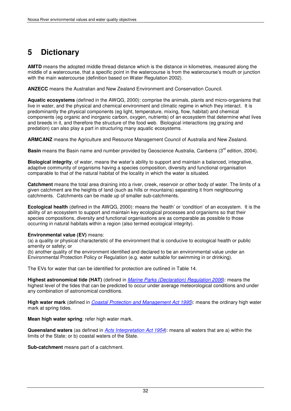## **5 Dictionary**

**AMTD** means the adopted middle thread distance which is the distance in kilometres, measured along the middle of a watercourse, that a specific point in the watercourse is from the watercourse's mouth or junction with the main watercourse (definition based on Water Regulation 2002).

**ANZECC** means the Australian and New Zealand Environment and Conservation Council.

**Aquatic ecosystems** (defined in the AWQG, 2000): comprise the animals, plants and micro-organisms that live in water, and the physical and chemical environment and climatic regime in which they interact. It is predominantly the physical components (eg light, temperature, mixing, flow, habitat) and chemical components (eg organic and inorganic carbon, oxygen, nutrients) of an ecosystem that determine what lives and breeds in it, and therefore the structure of the food web. Biological interactions (eg grazing and predation) can also play a part in structuring many aquatic ecosystems.

**ARMCANZ** means the Agriculture and Resource Management Council of Australia and New Zealand.

**Basin** means the Basin name and number provided by Geoscience Australia, Canberra (3<sup>rd</sup> edition, 2004).

**Biological integrity**, of water, means the water's ability to support and maintain a balanced, integrative, adaptive community of organisms having a species composition, diversity and functional organisation comparable to that of the natural habitat of the locality in which the water is situated.

**Catchment** means the total area draining into a river, creek, reservoir or other body of water. The limits of a given catchment are the heights of land (such as hills or mountains) separating it from neighbouring catchments. Catchments can be made up of smaller sub-catchments.

**Ecological health** (defined in the AWQG, 2000): means the 'health' or 'condition' of an ecosystem. It is the ability of an ecosystem to support and maintain key ecological processes and organisms so that their species compositions, diversity and functional organisations are as comparable as possible to those occurring in natural habitats within a region (also termed ecological integrity).

#### **Environmental value (EV)** means:

(a) a quality or physical characteristic of the environment that is conducive to ecological health or public amenity or safety; or

(b) another quality of the environment identified and declared to be an environmental value under an Environmental Protection Policy or Regulation (e.g. water suitable for swimming in or drinking).

The EVs for water that can be identified for protection are outlined in Table 14.

**Highest astronomical tide (HAT)** (defined in Marine Parks (Declaration) Regulation 2006): means the highest level of the tides that can be predicted to occur under average meteorological conditions and under any combination of astronomical conditions.

**High water mark** (defined in Coastal Protection and Management Act 1995): means the ordinary high water mark at spring tides.

**Mean high water spring**: refer high water mark.

**Queensland waters** (as defined in Acts Interpretation Act 1954): means all waters that are a) within the limits of the State; or b) coastal waters of the State.

**Sub-catchment** means part of a catchment.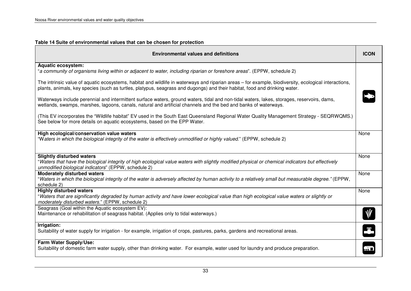| Table 14 Suite of environmental values that can be chosen for protection                                                                                                                                                                                                            |             |
|-------------------------------------------------------------------------------------------------------------------------------------------------------------------------------------------------------------------------------------------------------------------------------------|-------------|
| <b>Environmental values and definitions</b>                                                                                                                                                                                                                                         | <b>ICON</b> |
| <b>Aquatic ecosystem:</b>                                                                                                                                                                                                                                                           |             |
| "a community of organisms living within or adjacent to water, including riparian or foreshore areas". (EPPW, schedule 2)                                                                                                                                                            |             |
| The intrinsic value of aquatic ecosystems, habitat and wildlife in waterways and riparian areas - for example, biodiversity, ecological interactions,<br>plants, animals, key species (such as turtles, platypus, seagrass and dugongs) and their habitat, food and drinking water. |             |
| Waterways include perennial and intermittent surface waters, ground waters, tidal and non-tidal waters, lakes, storages, reservoirs, dams,<br>wetlands, swamps, marshes, lagoons, canals, natural and artificial channels and the bed and banks of waterways.                       |             |
| (This EV incorporates the "Wildlife habitat" EV used in the South East Queensland Regional Water Quality Management Strategy - SEQRWQMS.)<br>See below for more details on aquatic ecosystems, based on the EPP Water.                                                              |             |
| High ecological/conservation value waters<br>"Waters in which the biological integrity of the water is effectively unmodified or highly valued." (EPPW, schedule 2)                                                                                                                 | None        |
| <b>Slightly disturbed waters</b><br>"Waters that have the biological integrity of high ecological value waters with slightly modified physical or chemical indicators but effectively<br>unmodified biological indicators" (EPPW, schedule 2)                                       | None        |
| <b>Moderately disturbed waters</b><br>"Waters in which the biological integrity of the water is adversely affected by human activity to a relatively small but measurable degree." (EPPW,<br>schedule 2)                                                                            | None        |
| <b>Highly disturbed waters</b><br>"Waters that are significantly degraded by human activity and have lower ecological value than high ecological value waters or slightly or<br>moderately disturbed waters." (EPPW, schedule 2)                                                    | None        |
| Seagrass (Goal within the Aquatic ecosystem EV):<br>Maintenance or rehabilitation of seagrass habitat. (Applies only to tidal waterways.)                                                                                                                                           |             |
| Irrigation:<br>Suitability of water supply for irrigation - for example, irrigation of crops, pastures, parks, gardens and recreational areas.                                                                                                                                      | Ŧ           |
| Farm Water Supply/Use:<br>Suitability of domestic farm water supply, other than drinking water. For example, water used for laundry and produce preparation.                                                                                                                        |             |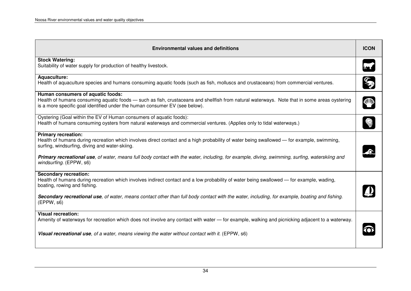| <b>Environmental values and definitions</b>                                                                                                                                                                                                                                                                                                                                                            |  |  |
|--------------------------------------------------------------------------------------------------------------------------------------------------------------------------------------------------------------------------------------------------------------------------------------------------------------------------------------------------------------------------------------------------------|--|--|
| <b>Stock Watering:</b><br>Suitability of water supply for production of healthy livestock.                                                                                                                                                                                                                                                                                                             |  |  |
| Aquaculture:<br>Health of aquaculture species and humans consuming aquatic foods (such as fish, molluscs and crustaceans) from commercial ventures.                                                                                                                                                                                                                                                    |  |  |
| Human consumers of aquatic foods:<br>Health of humans consuming aquatic foods - such as fish, crustaceans and shellfish from natural waterways. Note that in some areas oystering<br>is a more specific goal identified under the human consumer EV (see below).                                                                                                                                       |  |  |
| Oystering (Goal within the EV of Human consumers of aquatic foods):<br>Health of humans consuming oysters from natural waterways and commercial ventures. (Applies only to tidal waterways.)                                                                                                                                                                                                           |  |  |
| <b>Primary recreation:</b><br>Health of humans during recreation which involves direct contact and a high probability of water being swallowed — for example, swimming,<br>surfing, windsurfing, diving and water-skiing.<br>Primary recreational use, of water, means full body contact with the water, including, for example, diving, swimming, surfing, waterskiing and<br>windsurfing. (EPPW, s6) |  |  |
| <b>Secondary recreation:</b><br>Health of humans during recreation which involves indirect contact and a low probability of water being swallowed — for example, wading,<br>boating, rowing and fishing.<br>Secondary recreational use, of water, means contact other than full body contact with the water, including, for example, boating and fishing.<br>(EPPW, s6)                                |  |  |
| <b>Visual recreation:</b><br>Amenity of waterways for recreation which does not involve any contact with water — for example, walking and picnicking adjacent to a waterway.<br>Visual recreational use, of a water, means viewing the water without contact with it. (EPPW, s6)                                                                                                                       |  |  |